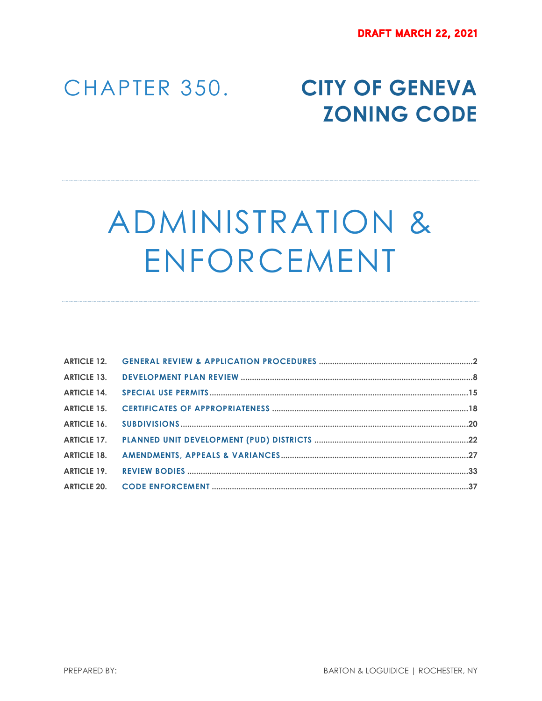# CHAPTER 350. **CITY OF GENEVA ZONING CODE**

# ADMINISTRATION & ENFORCEMENT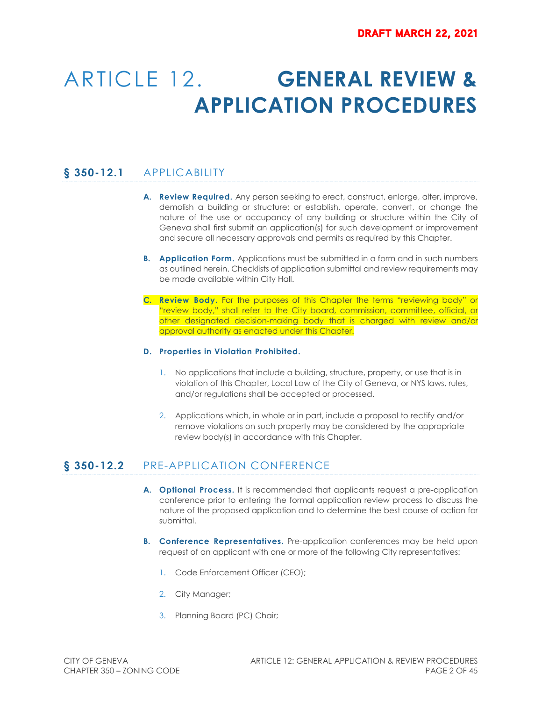# ARTICLE 12. **GENERAL REVIEW & APPLICATION PROCEDURES**

# **§ 350-12.1** APPLICABILITY

- **A. Review Required.** Any person seeking to erect, construct, enlarge, alter, improve, demolish a building or structure; or establish, operate, convert, or change the nature of the use or occupancy of any building or structure within the City of Geneva shall first submit an application(s) for such development or improvement and secure all necessary approvals and permits as required by this Chapter.
- **B. Application Form.** Applications must be submitted in a form and in such numbers as outlined herein. Checklists of application submittal and review requirements may be made available within City Hall.
- **C. Review Body.** For the purposes of this Chapter the terms "reviewing body" or "review body," shall refer to the City board, commission, committee, official, or other designated decision-making body that is charged with review and/or approval authority as enacted under this Chapter.

#### **D. Properties in Violation Prohibited.**

- 1. No applications that include a building, structure, property, or use that is in violation of this Chapter, Local Law of the City of Geneva, or NYS laws, rules, and/or regulations shall be accepted or processed.
- 2. Applications which, in whole or in part, include a proposal to rectify and/or remove violations on such property may be considered by the appropriate review body(s) in accordance with this Chapter.

# **§ 350-12.2** PRE-APPLICATION CONFERENCE

- **A. Optional Process.** It is recommended that applicants request a pre-application conference prior to entering the formal application review process to discuss the nature of the proposed application and to determine the best course of action for submittal.
- **B. Conference Representatives.** Pre-application conferences may be held upon request of an applicant with one or more of the following City representatives:
	- 1. Code Enforcement Officer (CEO);
	- 2. City Manager;
	- 3. Planning Board (PC) Chair;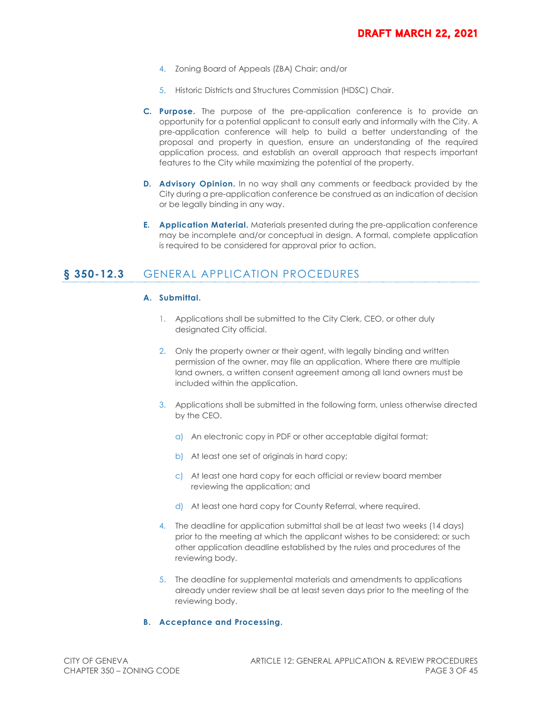- 4. Zoning Board of Appeals (ZBA) Chair; and/or
- 5. Historic Districts and Structures Commission (HDSC) Chair.
- **C. Purpose.** The purpose of the pre-application conference is to provide an opportunity for a potential applicant to consult early and informally with the City. A pre-application conference will help to build a better understanding of the proposal and property in question, ensure an understanding of the required application process, and establish an overall approach that respects important features to the City while maximizing the potential of the property.
- **D. Advisory Opinion.** In no way shall any comments or feedback provided by the City during a pre-application conference be construed as an indication of decision or be legally binding in any way.
- **E. Application Material.** Materials presented during the pre-application conference may be incomplete and/or conceptual in design. A formal, complete application is required to be considered for approval prior to action.

# **§ 350-12.3** GENERAL APPLICATION PROCEDURES

#### **A. Submittal.**

- 1. Applications shall be submitted to the City Clerk, CEO, or other duly designated City official.
- 2. Only the property owner or their agent, with legally binding and written permission of the owner, may file an application. Where there are multiple land owners, a written consent agreement among all land owners must be included within the application.
- 3. Applications shall be submitted in the following form, unless otherwise directed by the CEO.
	- a) An electronic copy in PDF or other acceptable digital format;
	- b) At least one set of originals in hard copy;
	- c) At least one hard copy for each official or review board member reviewing the application; and
	- d) At least one hard copy for County Referral, where required.
- 4. The deadline for application submittal shall be at least two weeks (14 days) prior to the meeting at which the applicant wishes to be considered; or such other application deadline established by the rules and procedures of the reviewing body.
- 5. The deadline for supplemental materials and amendments to applications already under review shall be at least seven days prior to the meeting of the reviewing body.

#### **B. Acceptance and Processing.**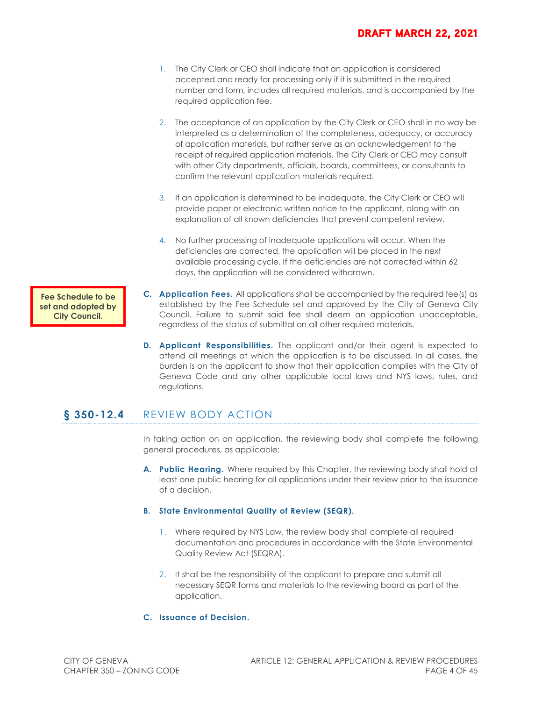### **DRAFT MARCH 22, 2021**

- 1. The City Clerk or CEO shall indicate that an application is considered accepted and ready for processing only if it is submitted in the required number and form, includes all required materials, and is accompanied by the required application fee.
- 2. The acceptance of an application by the City Clerk or CEO shall in no way be interpreted as a determination of the completeness, adequacy, or accuracy of application materials, but rather serve as an acknowledgement to the receipt of required application materials. The City Clerk or CEO may consult with other City departments, officials, boards, committees, or consultants to confirm the relevant application materials required.
- 3. If an application is determined to be inadequate, the City Clerk or CEO will provide paper or electronic written notice to the applicant, along with an explanation of all known deficiencies that prevent competent review.
- 4. No further processing of inadequate applications will occur. When the deficiencies are corrected, the application will be placed in the next available processing cycle. If the deficiencies are not corrected within 62 days, the application will be considered withdrawn.
- **C. Application Fees.** All applications shall be accompanied by the required fee(s) as established by the Fee Schedule set and approved by the City of Geneva City Council. Failure to submit said fee shall deem an application unacceptable, regardless of the status of submittal on all other required materials.
- **D. Applicant Responsibilities.** The applicant and/or their agent is expected to attend all meetings at which the application is to be discussed. In all cases, the burden is on the applicant to show that their application complies with the City of Geneva Code and any other applicable local laws and NYS laws, rules, and regulations.

# **§ 350-12.4** REVIEW BODY ACTION

In taking action on an application, the reviewing body shall complete the following general procedures, as applicable:

**A. Public Hearing.** Where required by this Chapter, the reviewing body shall hold at least one public hearing for all applications under their review prior to the issuance of a decision.

#### **B. State Environmental Quality of Review (SEQR).**

- 1. Where required by NYS Law, the review body shall complete all required documentation and procedures in accordance with the State Environmental Quality Review Act (SEQRA).
- 2. It shall be the responsibility of the applicant to prepare and submit all necessary SEQR forms and materials to the reviewing board as part of the application.

#### **C. Issuance of Decision.**

**Fee Schedule to be set and adopted by City Council.**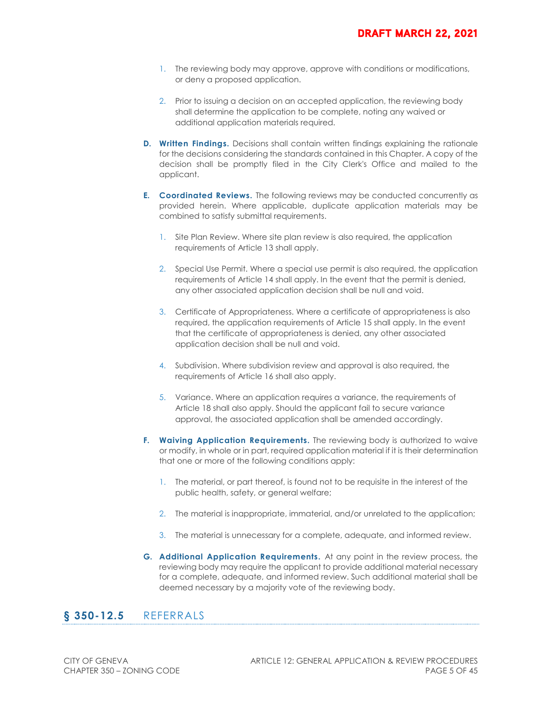- 1. The reviewing body may approve, approve with conditions or modifications, or deny a proposed application.
- 2. Prior to issuing a decision on an accepted application, the reviewing body shall determine the application to be complete, noting any waived or additional application materials required.
- **D.** Written Findings. Decisions shall contain written findings explaining the rationale for the decisions considering the standards contained in this Chapter. A copy of the decision shall be promptly filed in the City Clerk's Office and mailed to the applicant.
- **E. Coordinated Reviews.** The following reviews may be conducted concurrently as provided herein. Where applicable, duplicate application materials may be combined to satisfy submittal requirements.
	- 1. Site Plan Review. Where site plan review is also required, the application requirements of Article 13 shall apply.
	- 2. Special Use Permit. Where a special use permit is also required, the application requirements of Article 14 shall apply. In the event that the permit is denied, any other associated application decision shall be null and void.
	- 3. Certificate of Appropriateness. Where a certificate of appropriateness is also required, the application requirements of Article 15 shall apply. In the event that the certificate of appropriateness is denied, any other associated application decision shall be null and void.
	- 4. Subdivision. Where subdivision review and approval is also required, the requirements of Article 16 shall also apply.
	- 5. Variance. Where an application requires a variance, the requirements of Article 18 shall also apply. Should the applicant fail to secure variance approval, the associated application shall be amended accordingly.
- **F.** Waiving Application Requirements. The reviewing body is authorized to waive or modify, in whole or in part, required application material if it is their determination that one or more of the following conditions apply:
	- 1. The material, or part thereof, is found not to be requisite in the interest of the public health, safety, or general welfare;
	- 2. The material is inappropriate, immaterial, and/or unrelated to the application;
	- 3. The material is unnecessary for a complete, adequate, and informed review.
- **G. Additional Application Requirements.** At any point in the review process, the reviewing body may require the applicant to provide additional material necessary for a complete, adequate, and informed review. Such additional material shall be deemed necessary by a majority vote of the reviewing body.

### **§ 350-12.5** REFERRALS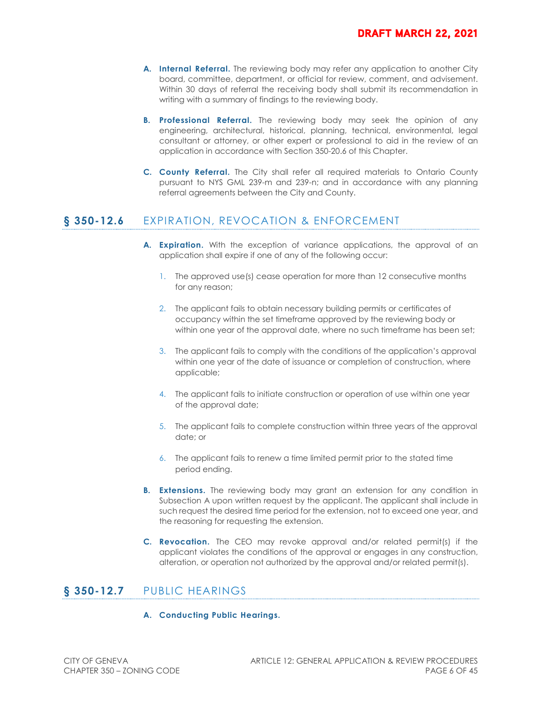- **A. Internal Referral.** The reviewing body may refer any application to another City board, committee, department, or official for review, comment, and advisement. Within 30 days of referral the receiving body shall submit its recommendation in writing with a summary of findings to the reviewing body.
- **B. Professional Referral.** The reviewing body may seek the opinion of any engineering, architectural, historical, planning, technical, environmental, legal consultant or attorney, or other expert or professional to aid in the review of an application in accordance with Section 350-20.6 of this Chapter.
- **C. County Referral.** The City shall refer all required materials to Ontario County pursuant to NYS GML 239-m and 239-n; and in accordance with any planning referral agreements between the City and County.

# **§ 350-12.6** EXPIRATION, REVOCATION & ENFORCEMENT

- **A. Expiration.** With the exception of variance applications, the approval of an application shall expire if one of any of the following occur:
	- 1. The approved use(s) cease operation for more than 12 consecutive months for any reason;
	- 2. The applicant fails to obtain necessary building permits or certificates of occupancy within the set timeframe approved by the reviewing body or within one year of the approval date, where no such timeframe has been set;
	- 3. The applicant fails to comply with the conditions of the application's approval within one year of the date of issuance or completion of construction, where applicable;
	- 4. The applicant fails to initiate construction or operation of use within one year of the approval date;
	- 5. The applicant fails to complete construction within three years of the approval date; or
	- 6. The applicant fails to renew a time limited permit prior to the stated time period ending.
- **B.** Extensions. The reviewing body may grant an extension for any condition in Subsection A upon written request by the applicant. The applicant shall include in such request the desired time period for the extension, not to exceed one year, and the reasoning for requesting the extension.
- **C. Revocation.** The CEO may revoke approval and/or related permit(s) if the applicant violates the conditions of the approval or engages in any construction, alteration, or operation not authorized by the approval and/or related permit(s).

# **§ 350-12.7** PUBLIC HEARINGS

#### **A. Conducting Public Hearings.**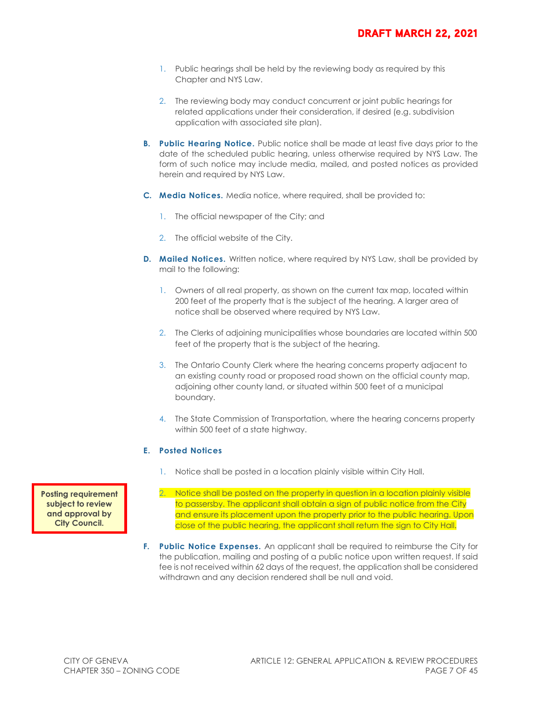- 1. Public hearings shall be held by the reviewing body as required by this Chapter and NYS Law.
- 2. The reviewing body may conduct concurrent or joint public hearings for related applications under their consideration, if desired (e.g. subdivision application with associated site plan).
- **B. Public Hearing Notice.** Public notice shall be made at least five days prior to the date of the scheduled public hearing, unless otherwise required by NYS Law. The form of such notice may include media, mailed, and posted notices as provided herein and required by NYS Law.
- **C. Media Notices.** Media notice, where required, shall be provided to:
	- 1. The official newspaper of the City; and
	- 2. The official website of the City.
- **D.** Mailed Notices. Written notice, where required by NYS Law, shall be provided by mail to the following:
	- 1. Owners of all real property, as shown on the current tax map, located within 200 feet of the property that is the subject of the hearing. A larger area of notice shall be observed where required by NYS Law.
	- 2. The Clerks of adjoining municipalities whose boundaries are located within 500 feet of the property that is the subject of the hearing.
	- 3. The Ontario County Clerk where the hearing concerns property adjacent to an existing county road or proposed road shown on the official county map, adjoining other county land, or situated within 500 feet of a municipal boundary.
	- 4. The State Commission of Transportation, where the hearing concerns property within 500 feet of a state highway.

#### **E. Posted Notices**

- 1. Notice shall be posted in a location plainly visible within City Hall.
- 2. Notice shall be posted on the property in question in a location plainly visible to passersby. The applicant shall obtain a sign of public notice from the City and ensure its placement upon the property prior to the public hearing. Upon close of the public hearing, the applicant shall return the sign to City Hall.
- **F. Public Notice Expenses.** An applicant shall be required to reimburse the City for the publication, mailing and posting of a public notice upon written request. If said fee is not received within 62 days of the request, the application shall be considered withdrawn and any decision rendered shall be null and void.

**Posting requirement subject to review and approval by City Council.**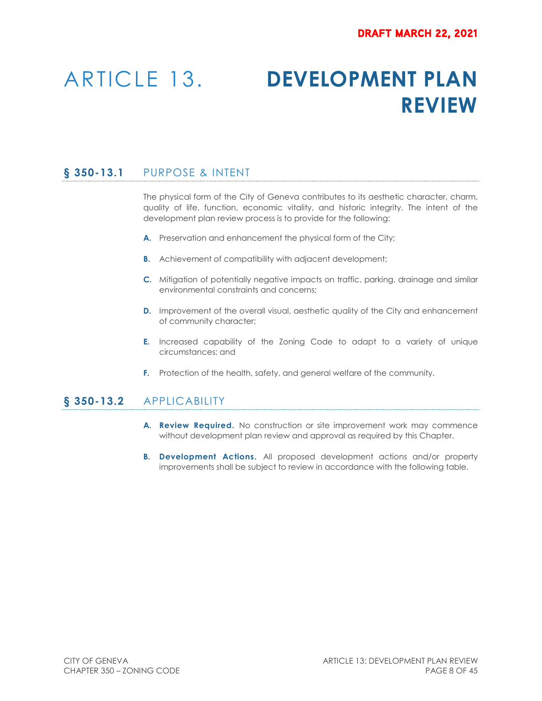# ARTICLE 13. **DEVELOPMENT PLAN REVIEW**

# **§ 350-13.1** PURPOSE & INTENT

The physical form of the City of Geneva contributes to its aesthetic character, charm, quality of life, function, economic vitality, and historic integrity. The intent of the development plan review process is to provide for the following:

- **A.** Preservation and enhancement the physical form of the City;
- **B.** Achievement of compatibility with adjacent development;
- **C.** Mitigation of potentially negative impacts on traffic, parking, drainage and similar environmental constraints and concerns;
- **D.** Improvement of the overall visual, aesthetic quality of the City and enhancement of community character;
- **E.** Increased capability of the Zoning Code to adapt to a variety of unique circumstances; and
- **F.** Protection of the health, safety, and general welfare of the community.

### **§ 350-13.2** APPLICABILITY

- **A. Review Required.** No construction or site improvement work may commence without development plan review and approval as required by this Chapter.
- **B. Development Actions.** All proposed development actions and/or property improvements shall be subject to review in accordance with the following table.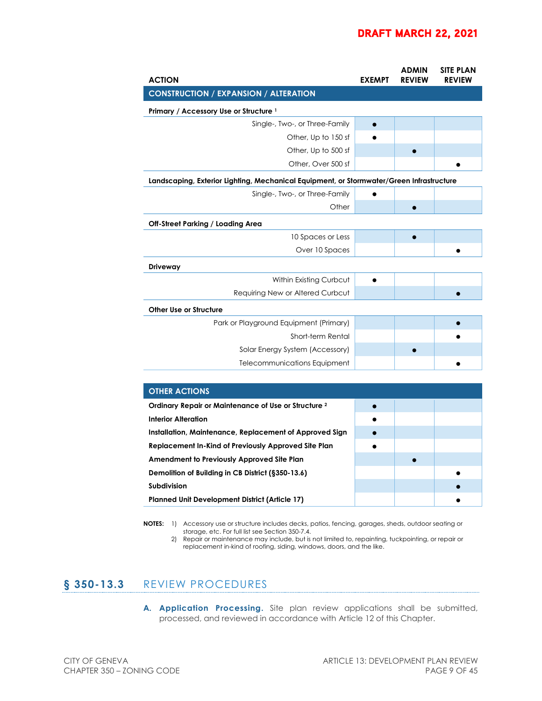## **DRAFT MARCH 22, 2021**

| <b>ACTION</b>                                                                            | <b>EXEMPT</b> | <b>ADMIN</b><br><b>REVIEW</b> | <b>SITE PLAN</b><br><b>REVIEW</b> |
|------------------------------------------------------------------------------------------|---------------|-------------------------------|-----------------------------------|
| <b>CONSTRUCTION / EXPANSION / ALTERATION</b>                                             |               |                               |                                   |
| Primary / Accessory Use or Structure <sup>1</sup>                                        |               |                               |                                   |
| Single-, Two-, or Three-Family                                                           | $\bullet$     |                               |                                   |
| Other, Up to 150 sf                                                                      |               |                               |                                   |
| Other, Up to 500 sf                                                                      |               |                               |                                   |
| Other, Over 500 sf                                                                       |               |                               |                                   |
| Landscaping, Exterior Lighting, Mechanical Equipment, or Stormwater/Green Infrastructure |               |                               |                                   |
| Single-, Two-, or Three-Family                                                           |               |                               |                                   |
| Other                                                                                    |               |                               |                                   |
| <b>Off-Street Parking / Loading Area</b>                                                 |               |                               |                                   |
| 10 Spaces or Less                                                                        |               | $\bullet$                     |                                   |
| Over 10 Spaces                                                                           |               |                               |                                   |
| <b>Driveway</b>                                                                          |               |                               |                                   |
| Within Existing Curbcut                                                                  |               |                               |                                   |
| Requiring New or Altered Curbcut                                                         |               |                               |                                   |
| <b>Other Use or Structure</b>                                                            |               |                               |                                   |
| Park or Playground Equipment (Primary)                                                   |               |                               |                                   |
| Short-term Rental                                                                        |               |                               |                                   |
| Solar Energy System (Accessory)                                                          |               |                               |                                   |
| Telecommunications Equipment                                                             |               |                               |                                   |

| <b>OTHER ACTIONS</b>                                            |           |  |  |  |  |
|-----------------------------------------------------------------|-----------|--|--|--|--|
| Ordinary Repair or Maintenance of Use or Structure <sup>2</sup> |           |  |  |  |  |
| <b>Interior Alteration</b>                                      | $\bullet$ |  |  |  |  |
| Installation, Maintenance, Replacement of Approved Sign         |           |  |  |  |  |
| Replacement In-Kind of Previously Approved Site Plan            |           |  |  |  |  |
| Amendment to Previously Approved Site Plan                      |           |  |  |  |  |
| Demolition of Building in CB District (§350-13.6)               |           |  |  |  |  |
| Subdivision                                                     |           |  |  |  |  |
| Planned Unit Development District (Article 17)                  |           |  |  |  |  |

**NOTES:** 1) Accessory use or structure includes decks, patios, fencing, garages, sheds, outdoor seating or storage, etc. For full list see Section 350-7.4.

2) Repair or maintenance may include, but is not limited to, repainting, tuckpointing, or repair or replacement in-kind of roofing, siding, windows, doors, and the like.

# **§ 350-13.3** REVIEW PROCEDURES

**A. Application Processing.** Site plan review applications shall be submitted, processed, and reviewed in accordance with Article 12 of this Chapter.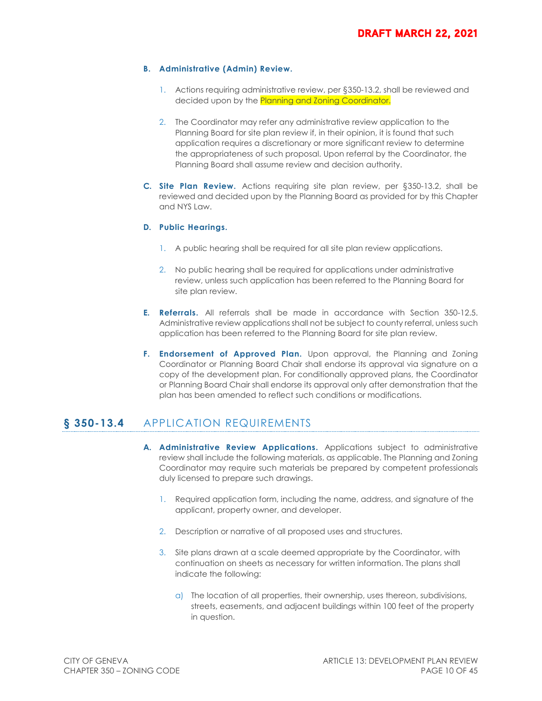#### **B. Administrative (Admin) Review.**

- 1. Actions requiring administrative review, per §350-13.2, shall be reviewed and decided upon by the **Planning and Zoning Coordinator.**
- 2. The Coordinator may refer any administrative review application to the Planning Board for site plan review if, in their opinion, it is found that such application requires a discretionary or more significant review to determine the appropriateness of such proposal. Upon referral by the Coordinator, the Planning Board shall assume review and decision authority.
- **C. Site Plan Review.** Actions requiring site plan review, per §350-13.2, shall be reviewed and decided upon by the Planning Board as provided for by this Chapter and NYS Law.

#### **D. Public Hearings.**

- 1. A public hearing shall be required for all site plan review applications.
- 2. No public hearing shall be required for applications under administrative review, unless such application has been referred to the Planning Board for site plan review.
- **E. Referrals.** All referrals shall be made in accordance with Section 350-12.5. Administrative review applications shall not be subject to county referral, unless such application has been referred to the Planning Board for site plan review.
- **F. Endorsement of Approved Plan.** Upon approval, the Planning and Zoning Coordinator or Planning Board Chair shall endorse its approval via signature on a copy of the development plan. For conditionally approved plans, the Coordinator or Planning Board Chair shall endorse its approval only after demonstration that the plan has been amended to reflect such conditions or modifications.

# **§ 350-13.4** APPLICATION REQUIREMENTS

- **A. Administrative Review Applications.** Applications subject to administrative review shall include the following materials, as applicable. The Planning and Zoning Coordinator may require such materials be prepared by competent professionals duly licensed to prepare such drawings.
	- 1. Required application form, including the name, address, and signature of the applicant, property owner, and developer.
	- 2. Description or narrative of all proposed uses and structures.
	- 3. Site plans drawn at a scale deemed appropriate by the Coordinator, with continuation on sheets as necessary for written information. The plans shall indicate the following:
		- a) The location of all properties, their ownership, uses thereon, subdivisions, streets, easements, and adjacent buildings within 100 feet of the property in question.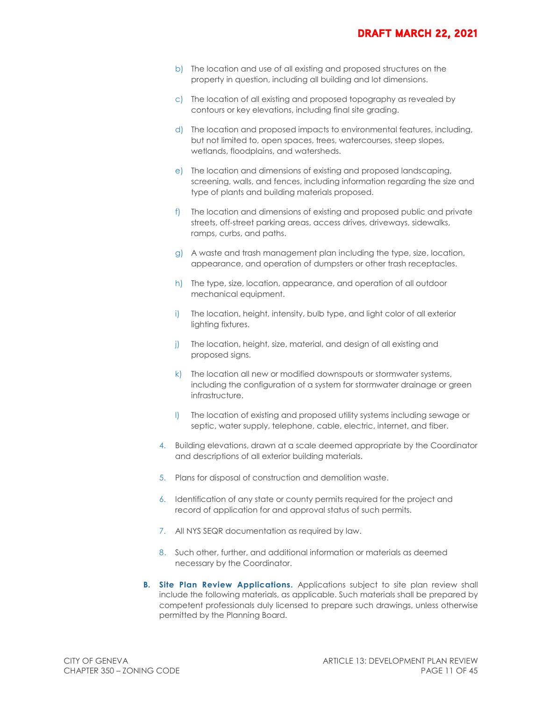- b) The location and use of all existing and proposed structures on the property in question, including all building and lot dimensions.
- c) The location of all existing and proposed topography as revealed by contours or key elevations, including final site grading.
- d) The location and proposed impacts to environmental features, including, but not limited to, open spaces, trees, watercourses, steep slopes, wetlands, floodplains, and watersheds.
- e) The location and dimensions of existing and proposed landscaping, screening, walls, and fences, including information regarding the size and type of plants and building materials proposed.
- f) The location and dimensions of existing and proposed public and private streets, off-street parking areas, access drives, driveways, sidewalks, ramps, curbs, and paths.
- g) A waste and trash management plan including the type, size, location, appearance, and operation of dumpsters or other trash receptacles.
- h) The type, size, location, appearance, and operation of all outdoor mechanical equipment.
- i) The location, height, intensity, bulb type, and light color of all exterior lighting fixtures.
- j) The location, height, size, material, and design of all existing and proposed signs.
- k) The location all new or modified downspouts or stormwater systems, including the configuration of a system for stormwater drainage or green infrastructure.
- l) The location of existing and proposed utility systems including sewage or septic, water supply, telephone, cable, electric, internet, and fiber.
- 4. Building elevations, drawn at a scale deemed appropriate by the Coordinator and descriptions of all exterior building materials.
- 5. Plans for disposal of construction and demolition waste.
- 6. Identification of any state or county permits required for the project and record of application for and approval status of such permits.
- 7. All NYS SEQR documentation as required by law.
- 8. Such other, further, and additional information or materials as deemed necessary by the Coordinator.
- **B. Site Plan Review Applications.** Applications subject to site plan review shall include the following materials, as applicable. Such materials shall be prepared by competent professionals duly licensed to prepare such drawings, unless otherwise permitted by the Planning Board.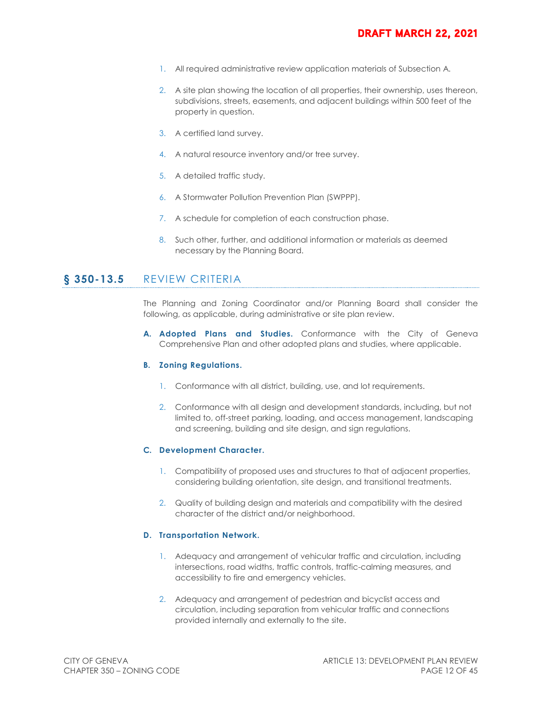- 1. All required administrative review application materials of Subsection A.
- 2. A site plan showing the location of all properties, their ownership, uses thereon, subdivisions, streets, easements, and adjacent buildings within 500 feet of the property in question.
- 3. A certified land survey.
- 4. A natural resource inventory and/or tree survey.
- 5. A detailed traffic study.
- 6. A Stormwater Pollution Prevention Plan (SWPPP).
- 7. A schedule for completion of each construction phase.
- 8. Such other, further, and additional information or materials as deemed necessary by the Planning Board.

#### **§ 350-13.5** REVIEW CRITERIA

The Planning and Zoning Coordinator and/or Planning Board shall consider the following, as applicable, during administrative or site plan review.

**A. Adopted Plans and Studies.** Conformance with the City of Geneva Comprehensive Plan and other adopted plans and studies, where applicable.

#### **B. Zoning Regulations.**

- 1. Conformance with all district, building, use, and lot requirements.
- 2. Conformance with all design and development standards, including, but not limited to, off-street parking, loading, and access management, landscaping and screening, building and site design, and sign regulations.

#### **C. Development Character.**

- 1. Compatibility of proposed uses and structures to that of adjacent properties, considering building orientation, site design, and transitional treatments.
- 2. Quality of building design and materials and compatibility with the desired character of the district and/or neighborhood.

#### **D. Transportation Network.**

- 1. Adequacy and arrangement of vehicular traffic and circulation, including intersections, road widths, traffic controls, traffic-calming measures, and accessibility to fire and emergency vehicles.
- 2. Adequacy and arrangement of pedestrian and bicyclist access and circulation, including separation from vehicular traffic and connections provided internally and externally to the site.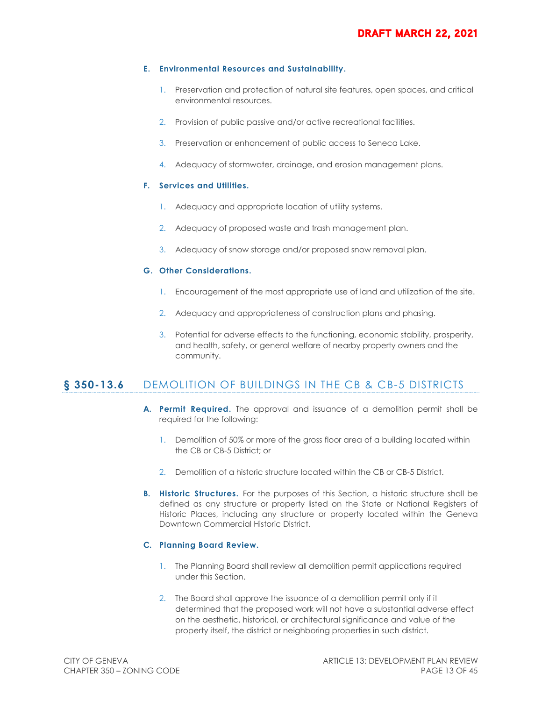#### **E. Environmental Resources and Sustainability.**

- 1. Preservation and protection of natural site features, open spaces, and critical environmental resources.
- 2. Provision of public passive and/or active recreational facilities.
- 3. Preservation or enhancement of public access to Seneca Lake.
- 4. Adequacy of stormwater, drainage, and erosion management plans.

#### **F. Services and Utilities.**

- 1. Adequacy and appropriate location of utility systems.
- 2. Adequacy of proposed waste and trash management plan.
- 3. Adequacy of snow storage and/or proposed snow removal plan.

#### **G. Other Considerations.**

- 1. Encouragement of the most appropriate use of land and utilization of the site.
- 2. Adequacy and appropriateness of construction plans and phasing.
- 3. Potential for adverse effects to the functioning, economic stability, prosperity, and health, safety, or general welfare of nearby property owners and the community.

# **§ 350-13.6** DEMOLITION OF BUILDINGS IN THE CB & CB-5 DISTRICTS

- **A. Permit Required.** The approval and issuance of a demolition permit shall be required for the following:
	- 1. Demolition of 50% or more of the gross floor area of a building located within the CB or CB-5 District; or
	- 2. Demolition of a historic structure located within the CB or CB-5 District.
- **B.** Historic Structures. For the purposes of this Section, a historic structure shall be defined as any structure or property listed on the State or National Registers of Historic Places, including any structure or property located within the Geneva Downtown Commercial Historic District.

#### **C. Planning Board Review.**

- 1. The Planning Board shall review all demolition permit applications required under this Section.
- 2. The Board shall approve the issuance of a demolition permit only if it determined that the proposed work will not have a substantial adverse effect on the aesthetic, historical, or architectural significance and value of the property itself, the district or neighboring properties in such district.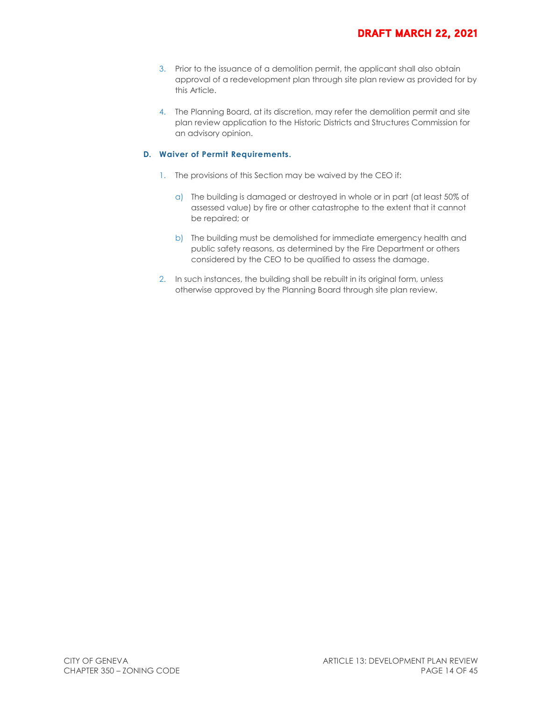- 3. Prior to the issuance of a demolition permit, the applicant shall also obtain approval of a redevelopment plan through site plan review as provided for by this Article.
- 4. The Planning Board, at its discretion, may refer the demolition permit and site plan review application to the Historic Districts and Structures Commission for an advisory opinion.

#### **D. Waiver of Permit Requirements.**

- 1. The provisions of this Section may be waived by the CEO if:
	- a) The building is damaged or destroyed in whole or in part (at least 50% of assessed value) by fire or other catastrophe to the extent that it cannot be repaired; or
	- b) The building must be demolished for immediate emergency health and public safety reasons, as determined by the Fire Department or others considered by the CEO to be qualified to assess the damage.
- 2. In such instances, the building shall be rebuilt in its original form, unless otherwise approved by the Planning Board through site plan review.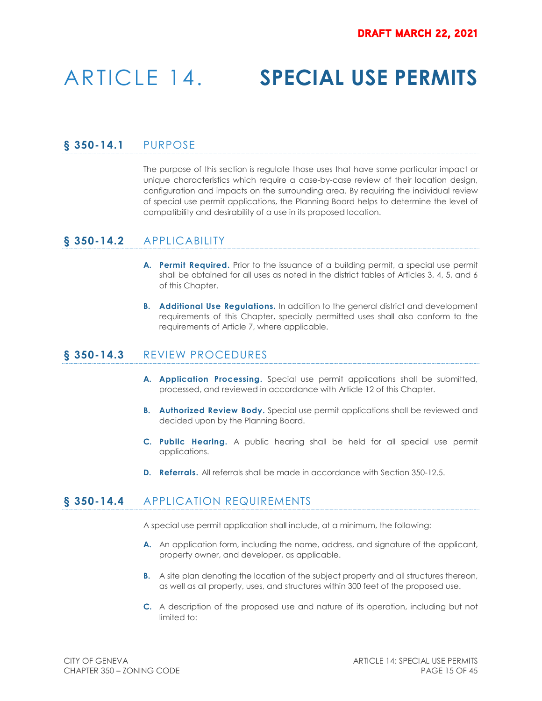# ARTICLE 14. **SPECIAL USE PERMITS**

# **§ 350-14.1** PURPOSE

The purpose of this section is regulate those uses that have some particular impact or unique characteristics which require a case-by-case review of their location design, configuration and impacts on the surrounding area. By requiring the individual review of special use permit applications, the Planning Board helps to determine the level of compatibility and desirability of a use in its proposed location.

# **§ 350-14.2** APPLICABILITY

- **A. Permit Required.** Prior to the issuance of a building permit, a special use permit shall be obtained for all uses as noted in the district tables of Articles 3, 4, 5, and 6 of this Chapter.
- **B. Additional Use Regulations.** In addition to the general district and development requirements of this Chapter, specially permitted uses shall also conform to the requirements of Article 7, where applicable.

## **§ 350-14.3** REVIEW PROCEDURES

- **A. Application Processing.** Special use permit applications shall be submitted, processed, and reviewed in accordance with Article 12 of this Chapter.
- **B. Authorized Review Body.** Special use permit applications shall be reviewed and decided upon by the Planning Board.
- **C. Public Hearing.** A public hearing shall be held for all special use permit applications.
- **D. Referrals.** All referrals shall be made in accordance with Section 350-12.5.

### **§ 350-14.4** APPLICATION REQUIREMENTS

A special use permit application shall include, at a minimum, the following:

- **A.** An application form, including the name, address, and signature of the applicant, property owner, and developer, as applicable.
- **B.** A site plan denoting the location of the subject property and all structures thereon, as well as all property, uses, and structures within 300 feet of the proposed use.
- **C.** A description of the proposed use and nature of its operation, including but not limited to: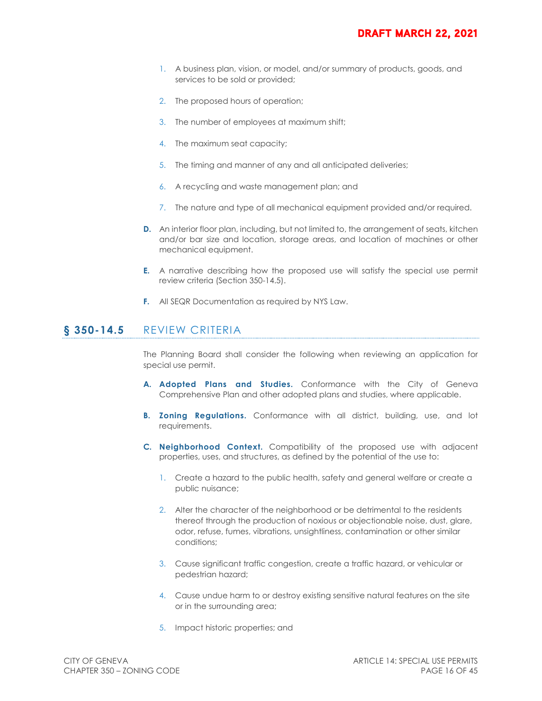- 1. A business plan, vision, or model, and/or summary of products, goods, and services to be sold or provided;
- 2. The proposed hours of operation;
- 3. The number of employees at maximum shift;
- 4. The maximum seat capacity;
- 5. The timing and manner of any and all anticipated deliveries;
- 6. A recycling and waste management plan; and
- 7. The nature and type of all mechanical equipment provided and/or required.
- **D.** An interior floor plan, including, but not limited to, the arrangement of seats, kitchen and/or bar size and location, storage areas, and location of machines or other mechanical equipment.
- **E.** A narrative describing how the proposed use will satisfy the special use permit review criteria (Section 350-14.5).
- **F.** All SEQR Documentation as required by NYS Law.

### **§ 350-14.5** REVIEW CRITERIA

The Planning Board shall consider the following when reviewing an application for special use permit.

- **A. Adopted Plans and Studies.** Conformance with the City of Geneva Comprehensive Plan and other adopted plans and studies, where applicable.
- **B. Zoning Regulations.** Conformance with all district, building, use, and lot requirements.
- **C. Neighborhood Context.** Compatibility of the proposed use with adjacent properties, uses, and structures, as defined by the potential of the use to:
	- 1. Create a hazard to the public health, safety and general welfare or create a public nuisance;
	- 2. Alter the character of the neighborhood or be detrimental to the residents thereof through the production of noxious or objectionable noise, dust, glare, odor, refuse, fumes, vibrations, unsightliness, contamination or other similar conditions;
	- 3. Cause significant traffic congestion, create a traffic hazard, or vehicular or pedestrian hazard;
	- 4. Cause undue harm to or destroy existing sensitive natural features on the site or in the surrounding area;
	- 5. Impact historic properties; and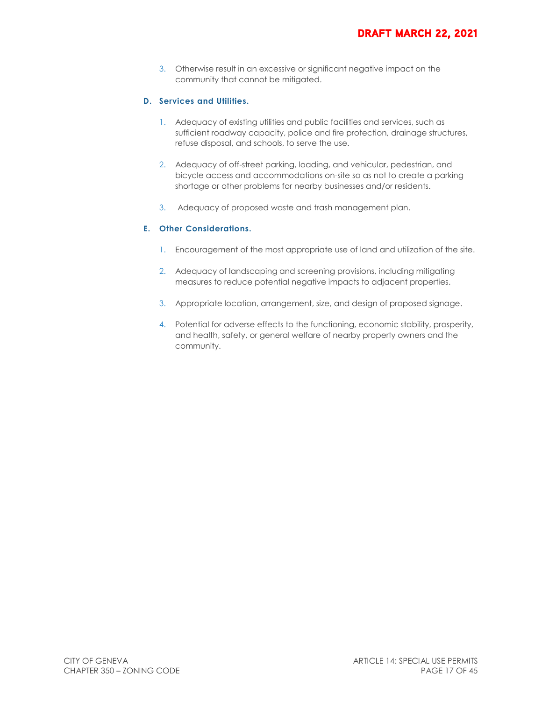3. Otherwise result in an excessive or significant negative impact on the community that cannot be mitigated.

#### **D. Services and Utilities.**

- 1. Adequacy of existing utilities and public facilities and services, such as sufficient roadway capacity, police and fire protection, drainage structures, refuse disposal, and schools, to serve the use.
- 2. Adequacy of off-street parking, loading, and vehicular, pedestrian, and bicycle access and accommodations on-site so as not to create a parking shortage or other problems for nearby businesses and/or residents.
- 3. Adequacy of proposed waste and trash management plan.

#### **E. Other Considerations.**

- 1. Encouragement of the most appropriate use of land and utilization of the site.
- 2. Adequacy of landscaping and screening provisions, including mitigating measures to reduce potential negative impacts to adjacent properties.
- 3. Appropriate location, arrangement, size, and design of proposed signage.
- 4. Potential for adverse effects to the functioning, economic stability, prosperity, and health, safety, or general welfare of nearby property owners and the community.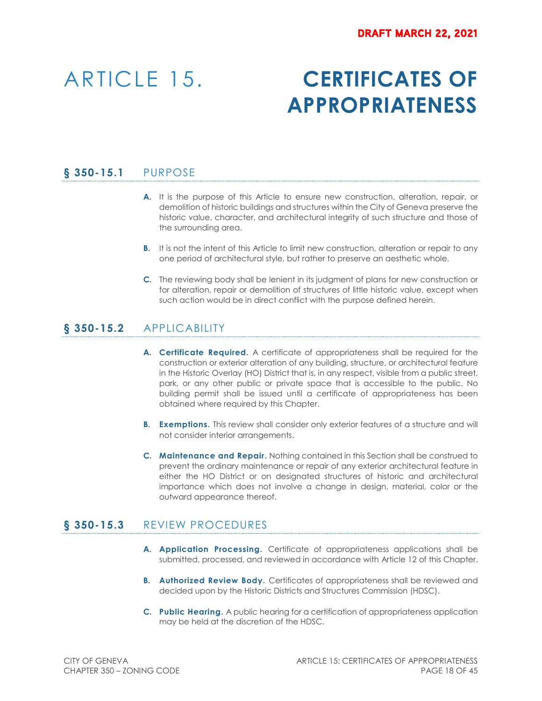# ARTICLE 15. **CERTIFICATES OF APPROPRIATENESS**

# **§ 350-15.1** PURPOSE

- **A.** It is the purpose of this Article to ensure new construction, alteration, repair, or demolition of historic buildings and structures within the City of Geneva preserve the historic value, character, and architectural integrity of such structure and those of the surrounding area.
- **B.** It is not the intent of this Article to limit new construction, alteration or repair to any one period of architectural style, but rather to preserve an aesthetic whole.
- **C.** The reviewing body shall be lenient in its judgment of plans for new construction or for alteration, repair or demolition of structures of little historic value, except when such action would be in direct conflict with the purpose defined herein.

# **§ 350-15.2** APPLICABILITY

- **A. Certificate Required.** A certificate of appropriateness shall be required for the construction or exterior alteration of any building, structure, or architectural feature in the Historic Overlay (HO) District that is, in any respect, visible from a public street, park, or any other public or private space that is accessible to the public. No building permit shall be issued until a certificate of appropriateness has been obtained where required by this Chapter.
- **B.** Exemptions. This review shall consider only exterior features of a structure and will not consider interior arrangements.
- **C. Maintenance and Repair.** Nothing contained in this Section shall be construed to prevent the ordinary maintenance or repair of any exterior architectural feature in either the HO District or on designated structures of historic and architectural importance which does not involve a change in design, material, color or the outward appearance thereof.

# **§ 350-15.3** REVIEW PROCEDURES

- **A. Application Processing.** Certificate of appropriateness applications shall be submitted, processed, and reviewed in accordance with Article 12 of this Chapter.
- **B.** Authorized Review Body. Certificates of appropriateness shall be reviewed and decided upon by the Historic Districts and Structures Commission (HDSC).
- **C. Public Hearing.** A public hearing for a certification of appropriateness application may be held at the discretion of the HDSC.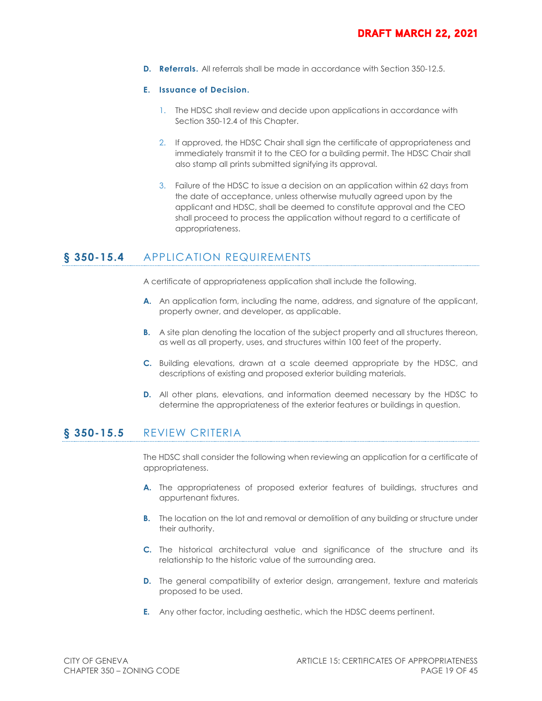**D. Referrals.** All referrals shall be made in accordance with Section 350-12.5.

#### **E. Issuance of Decision.**

- 1. The HDSC shall review and decide upon applications in accordance with Section 350-12.4 of this Chapter.
- 2. If approved, the HDSC Chair shall sign the certificate of appropriateness and immediately transmit it to the CEO for a building permit. The HDSC Chair shall also stamp all prints submitted signifying its approval.
- 3. Failure of the HDSC to issue a decision on an application within 62 days from the date of acceptance, unless otherwise mutually agreed upon by the applicant and HDSC, shall be deemed to constitute approval and the CEO shall proceed to process the application without regard to a certificate of appropriateness.

# § 350-15.4 APPLICATION REQUIREMENTS

A certificate of appropriateness application shall include the following.

- **A.** An application form, including the name, address, and signature of the applicant, property owner, and developer, as applicable.
- **B.** A site plan denoting the location of the subject property and all structures thereon, as well as all property, uses, and structures within 100 feet of the property.
- **C.** Building elevations, drawn at a scale deemed appropriate by the HDSC, and descriptions of existing and proposed exterior building materials.
- **D.** All other plans, elevations, and information deemed necessary by the HDSC to determine the appropriateness of the exterior features or buildings in question.

# **§ 350-15.5** REVIEW CRITERIA

The HDSC shall consider the following when reviewing an application for a certificate of appropriateness.

- **A.** The appropriateness of proposed exterior features of buildings, structures and appurtenant fixtures.
- **B.** The location on the lot and removal or demolition of any building or structure under their authority.
- **C.** The historical architectural value and significance of the structure and its relationship to the historic value of the surrounding area.
- **D.** The general compatibility of exterior design, arrangement, texture and materials proposed to be used.
- **E.** Any other factor, including aesthetic, which the HDSC deems pertinent.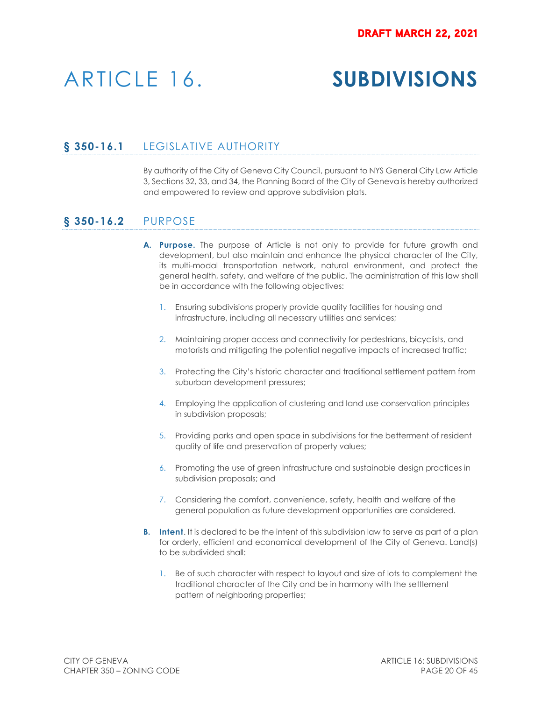# ARTICLE 16. **SUBDIVISIONS**

# **§ 350-16.1** LEGISLATIVE AUTHORITY

By authority of the City of Geneva City Council, pursuant to NYS General City Law Article 3, Sections 32, 33, and 34, the Planning Board of the City of Geneva is hereby authorized and empowered to review and approve subdivision plats.

### **§ 350-16.2** PURPOSE

- **A. Purpose.** The purpose of Article is not only to provide for future growth and development, but also maintain and enhance the physical character of the City, its multi-modal transportation network, natural environment, and protect the general health, safety, and welfare of the public. The administration of this law shall be in accordance with the following objectives:
	- 1. Ensuring subdivisions properly provide quality facilities for housing and infrastructure, including all necessary utilities and services;
	- 2. Maintaining proper access and connectivity for pedestrians, bicyclists, and motorists and mitigating the potential negative impacts of increased traffic;
	- 3. Protecting the City's historic character and traditional settlement pattern from suburban development pressures;
	- 4. Employing the application of clustering and land use conservation principles in subdivision proposals;
	- 5. Providing parks and open space in subdivisions for the betterment of resident quality of life and preservation of property values;
	- 6. Promoting the use of green infrastructure and sustainable design practices in subdivision proposals; and
	- 7. Considering the comfort, convenience, safety, health and welfare of the general population as future development opportunities are considered.
- **B.** Intent. It is declared to be the intent of this subdivision law to serve as part of a plan for orderly, efficient and economical development of the City of Geneva. Land(s) to be subdivided shall:
	- 1. Be of such character with respect to layout and size of lots to complement the traditional character of the City and be in harmony with the settlement pattern of neighboring properties;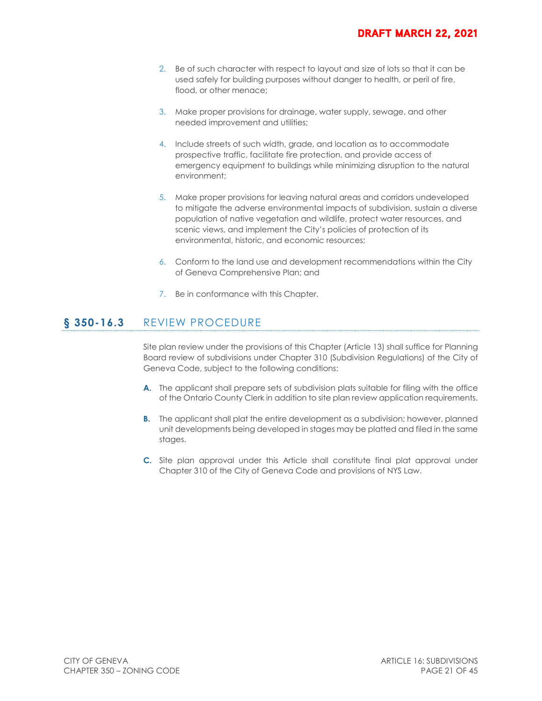- 2. Be of such character with respect to layout and size of lots so that it can be used safely for building purposes without danger to health, or peril of fire, flood, or other menace;
- 3. Make proper provisions for drainage, water supply, sewage, and other needed improvement and utilities;
- 4. Include streets of such width, grade, and location as to accommodate prospective traffic, facilitate fire protection, and provide access of emergency equipment to buildings while minimizing disruption to the natural environment;
- 5. Make proper provisions for leaving natural areas and corridors undeveloped to mitigate the adverse environmental impacts of subdivision, sustain a diverse population of native vegetation and wildlife, protect water resources, and scenic views, and implement the City's policies of protection of its environmental, historic, and economic resources;
- 6. Conform to the land use and development recommendations within the City of Geneva Comprehensive Plan; and
- 7. Be in conformance with this Chapter.

# **§ 350-16.3** REVIEW PROCEDURE

Site plan review under the provisions of this Chapter (Article 13) shall suffice for Planning Board review of subdivisions under Chapter 310 (Subdivision Regulations) of the City of Geneva Code, subject to the following conditions:

- **A.** The applicant shall prepare sets of subdivision plats suitable for filing with the office of the Ontario County Clerk in addition to site plan review application requirements.
- **B.** The applicant shall plat the entire development as a subdivision; however, planned unit developments being developed in stages may be platted and filed in the same stages.
- **C.** Site plan approval under this Article shall constitute final plat approval under Chapter 310 of the City of Geneva Code and provisions of NYS Law.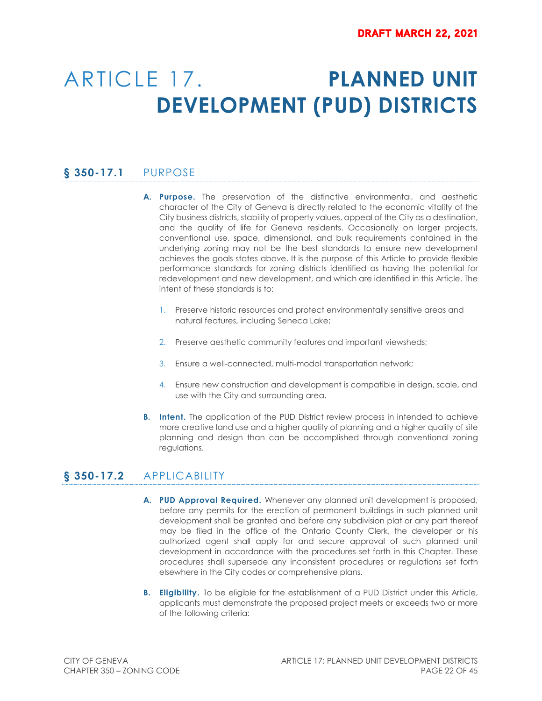# ARTICLE 17. **PLANNED UNIT DEVELOPMENT (PUD) DISTRICTS**

# **§ 350-17.1** PURPOSE

- **A. Purpose.** The preservation of the distinctive environmental, and aesthetic character of the City of Geneva is directly related to the economic vitality of the City business districts, stability of property values, appeal of the City as a destination, and the quality of life for Geneva residents. Occasionally on larger projects, conventional use, space, dimensional, and bulk requirements contained in the underlying zoning may not be the best standards to ensure new development achieves the goals states above. It is the purpose of this Article to provide flexible performance standards for zoning districts identified as having the potential for redevelopment and new development, and which are identified in this Article. The intent of these standards is to:
	- 1. Preserve historic resources and protect environmentally sensitive areas and natural features, including Seneca Lake;
	- 2. Preserve aesthetic community features and important viewsheds;
	- 3. Ensure a well-connected, multi-modal transportation network;
	- 4. Ensure new construction and development is compatible in design, scale, and use with the City and surrounding area.
- **B.** Intent. The application of the PUD District review process in intended to achieve more creative land use and a higher quality of planning and a higher quality of site planning and design than can be accomplished through conventional zoning regulations.

# **§ 350-17.2** APPLICABILITY

- **A. PUD Approval Required.** Whenever any planned unit development is proposed, before any permits for the erection of permanent buildings in such planned unit development shall be granted and before any subdivision plat or any part thereof may be filed in the office of the Ontario County Clerk, the developer or his authorized agent shall apply for and secure approval of such planned unit development in accordance with the procedures set forth in this Chapter. These procedures shall supersede any inconsistent procedures or regulations set forth elsewhere in the City codes or comprehensive plans.
- **B.** Eligibility. To be eligible for the establishment of a PUD District under this Article, applicants must demonstrate the proposed project meets or exceeds two or more of the following criteria: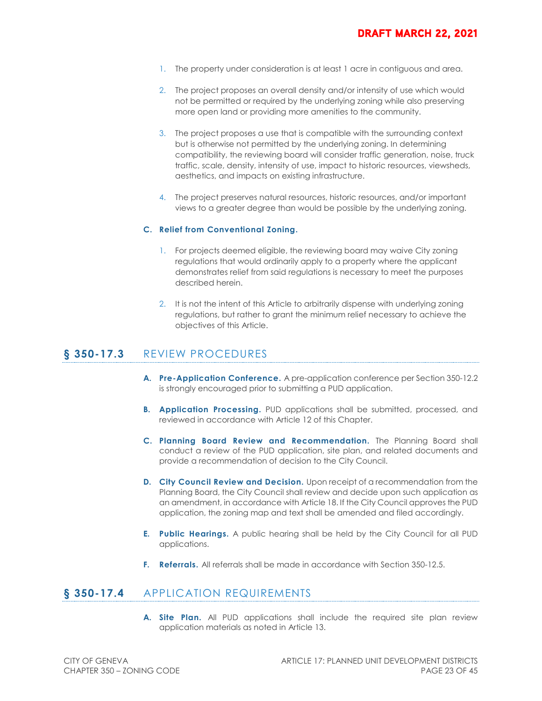- 1. The property under consideration is at least 1 acre in contiguous and area.
- 2. The project proposes an overall density and/or intensity of use which would not be permitted or required by the underlying zoning while also preserving more open land or providing more amenities to the community.
- 3. The project proposes a use that is compatible with the surrounding context but is otherwise not permitted by the underlying zoning. In determining compatibility, the reviewing board will consider traffic generation, noise, truck traffic, scale, density, intensity of use, impact to historic resources, viewsheds, aesthetics, and impacts on existing infrastructure.
- 4. The project preserves natural resources, historic resources, and/or important views to a greater degree than would be possible by the underlying zoning.

#### **C. Relief from Conventional Zoning.**

- 1. For projects deemed eligible, the reviewing board may waive City zoning regulations that would ordinarily apply to a property where the applicant demonstrates relief from said regulations is necessary to meet the purposes described herein.
- 2. It is not the intent of this Article to arbitrarily dispense with underlying zoning regulations, but rather to grant the minimum relief necessary to achieve the objectives of this Article.

## **§ 350-17.3** REVIEW PROCEDURES

- **A. Pre-Application Conference.** A pre-application conference per Section 350-12.2 is strongly encouraged prior to submitting a PUD application.
- **B. Application Processing.** PUD applications shall be submitted, processed, and reviewed in accordance with Article 12 of this Chapter.
- **C. Planning Board Review and Recommendation.** The Planning Board shall conduct a review of the PUD application, site plan, and related documents and provide a recommendation of decision to the City Council.
- **D. City Council Review and Decision.** Upon receipt of a recommendation from the Planning Board, the City Council shall review and decide upon such application as an amendment, in accordance with Article 18. If the City Council approves the PUD application, the zoning map and text shall be amended and filed accordingly.
- **E. Public Hearings.** A public hearing shall be held by the City Council for all PUD applications.
- **F. Referrals.** All referrals shall be made in accordance with Section 350-12.5.

### **§ 350-17.4** APPLICATION REQUIREMENTS

**A. Site Plan.** All PUD applications shall include the required site plan review application materials as noted in Article 13.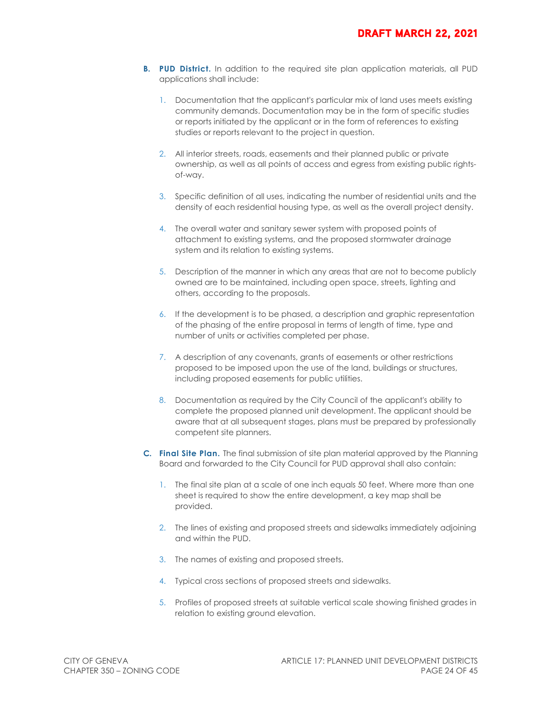- **B.** PUD District. In addition to the required site plan application materials, all PUD applications shall include:
	- 1. Documentation that the applicant's particular mix of land uses meets existing community demands. Documentation may be in the form of specific studies or reports initiated by the applicant or in the form of references to existing studies or reports relevant to the project in question.
	- 2. All interior streets, roads, easements and their planned public or private ownership, as well as all points of access and egress from existing public rightsof-way.
	- 3. Specific definition of all uses, indicating the number of residential units and the density of each residential housing type, as well as the overall project density.
	- 4. The overall water and sanitary sewer system with proposed points of attachment to existing systems, and the proposed stormwater drainage system and its relation to existing systems.
	- 5. Description of the manner in which any areas that are not to become publicly owned are to be maintained, including open space, streets, lighting and others, according to the proposals.
	- 6. If the development is to be phased, a description and graphic representation of the phasing of the entire proposal in terms of length of time, type and number of units or activities completed per phase.
	- 7. A description of any covenants, grants of easements or other restrictions proposed to be imposed upon the use of the land, buildings or structures, including proposed easements for public utilities.
	- 8. Documentation as required by the City Council of the applicant's ability to complete the proposed planned unit development. The applicant should be aware that at all subsequent stages, plans must be prepared by professionally competent site planners.
- **C. Final Site Plan.** The final submission of site plan material approved by the Planning Board and forwarded to the City Council for PUD approval shall also contain:
	- 1. The final site plan at a scale of one inch equals 50 feet. Where more than one sheet is required to show the entire development, a key map shall be provided.
	- 2. The lines of existing and proposed streets and sidewalks immediately adjoining and within the PUD.
	- 3. The names of existing and proposed streets.
	- 4. Typical cross sections of proposed streets and sidewalks.
	- 5. Profiles of proposed streets at suitable vertical scale showing finished grades in relation to existing ground elevation.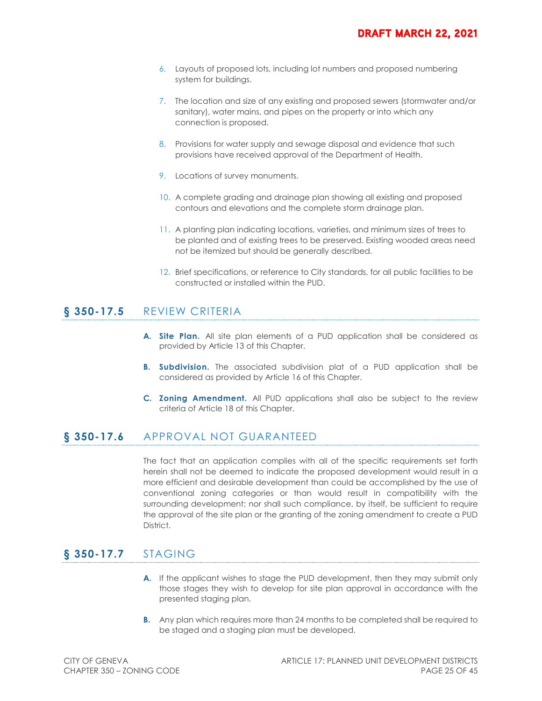- 6. Layouts of proposed lots, including lot numbers and proposed numbering system for buildings.
- 7. The location and size of any existing and proposed sewers (stormwater and/or sanitary), water mains, and pipes on the property or into which any connection is proposed.
- 8. Provisions for water supply and sewage disposal and evidence that such provisions have received approval of the Department of Health.
- 9. Locations of survey monuments.
- 10. A complete grading and drainage plan showing all existing and proposed contours and elevations and the complete storm drainage plan.
- 11. A planting plan indicating locations, varieties, and minimum sizes of trees to be planted and of existing trees to be preserved. Existing wooded areas need not be itemized but should be generally described.
- 12. Brief specifications, or reference to City standards, for all public facilities to be constructed or installed within the PUD.

### **§ 350-17.5** REVIEW CRITERIA

- **A. Site Plan.** All site plan elements of a PUD application shall be considered as provided by Article 13 of this Chapter.
- **B. Subdivision.** The associated subdivision plat of a PUD application shall be considered as provided by Article 16 of this Chapter.
- **C. Zoning Amendment.** All PUD applications shall also be subject to the review criteria of Article 18 of this Chapter.

#### **§ 350-17.6** APPROVAL NOT GUARANTEED

The fact that an application complies with all of the specific requirements set forth herein shall not be deemed to indicate the proposed development would result in a more efficient and desirable development than could be accomplished by the use of conventional zoning categories or than would result in compatibility with the surrounding development; nor shall such compliance, by itself, be sufficient to require the approval of the site plan or the granting of the zoning amendment to create a PUD District.

# **§ 350-17.7** STAGING

- **A.** If the applicant wishes to stage the PUD development, then they may submit only those stages they wish to develop for site plan approval in accordance with the presented staging plan.
- **B.** Any plan which requires more than 24 months to be completed shall be required to be staged and a staging plan must be developed.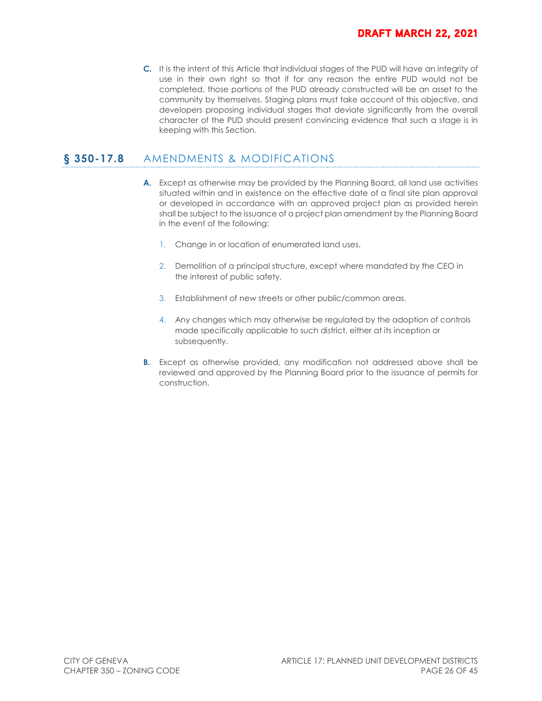**C.** It is the intent of this Article that individual stages of the PUD will have an integrity of use in their own right so that if for any reason the entire PUD would not be completed, those portions of the PUD already constructed will be an asset to the community by themselves. Staging plans must take account of this objective, and developers proposing individual stages that deviate significantly from the overall character of the PUD should present convincing evidence that such a stage is in keeping with this Section.

# § 350-17.8 AMENDMENTS & MODIFICATIONS

- **A.** Except as otherwise may be provided by the Planning Board, all land use activities situated within and in existence on the effective date of a final site plan approval or developed in accordance with an approved project plan as provided herein shall be subject to the issuance of a project plan amendment by the Planning Board in the event of the following:
	- 1. Change in or location of enumerated land uses.
	- 2. Demolition of a principal structure, except where mandated by the CEO in the interest of public safety.
	- 3. Establishment of new streets or other public/common areas.
	- 4. Any changes which may otherwise be regulated by the adoption of controls made specifically applicable to such district, either at its inception or subsequently.
- **B.** Except as otherwise provided, any modification not addressed above shall be reviewed and approved by the Planning Board prior to the issuance of permits for construction.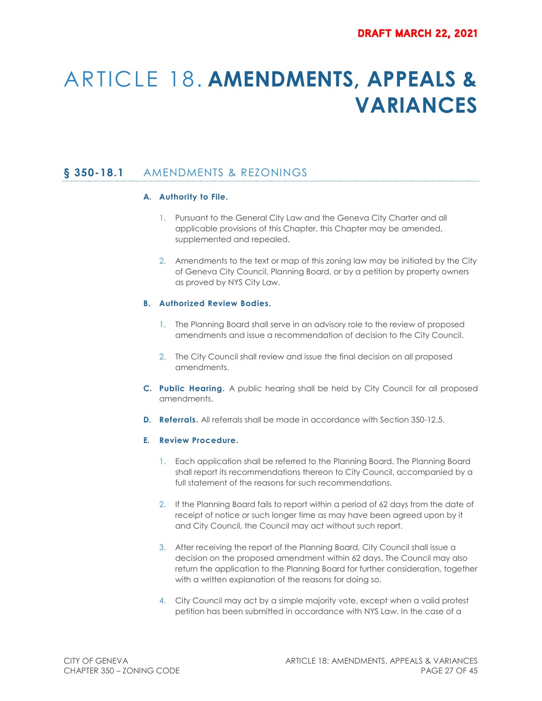# ARTICLE 18. **AMENDMENTS, APPEALS & VARIANCES**

# **§ 350-18.1** AMENDMENTS & REZONINGS

#### **A. Authority to File.**

- 1. Pursuant to the General City Law and the Geneva City Charter and all applicable provisions of this Chapter, this Chapter may be amended, supplemented and repealed.
- 2. Amendments to the text or map of this zoning law may be initiated by the City of Geneva City Council, Planning Board, or by a petition by property owners as proved by NYS City Law.

#### **B. Authorized Review Bodies.**

- 1. The Planning Board shall serve in an advisory role to the review of proposed amendments and issue a recommendation of decision to the City Council.
- 2. The City Council shall review and issue the final decision on all proposed amendments.
- **C. Public Hearing.** A public hearing shall be held by City Council for all proposed amendments.
- **D. Referrals.** All referrals shall be made in accordance with Section 350-12.5.

#### **E. Review Procedure.**

- 1. Each application shall be referred to the Planning Board. The Planning Board shall report its recommendations thereon to City Council, accompanied by a full statement of the reasons for such recommendations.
- 2. If the Planning Board fails to report within a period of 62 days from the date of receipt of notice or such longer time as may have been agreed upon by it and City Council, the Council may act without such report.
- 3. After receiving the report of the Planning Board, City Council shall issue a decision on the proposed amendment within 62 days. The Council may also return the application to the Planning Board for further consideration, together with a written explanation of the reasons for doing so.
- 4. City Council may act by a simple majority vote, except when a valid protest petition has been submitted in accordance with NYS Law. In the case of a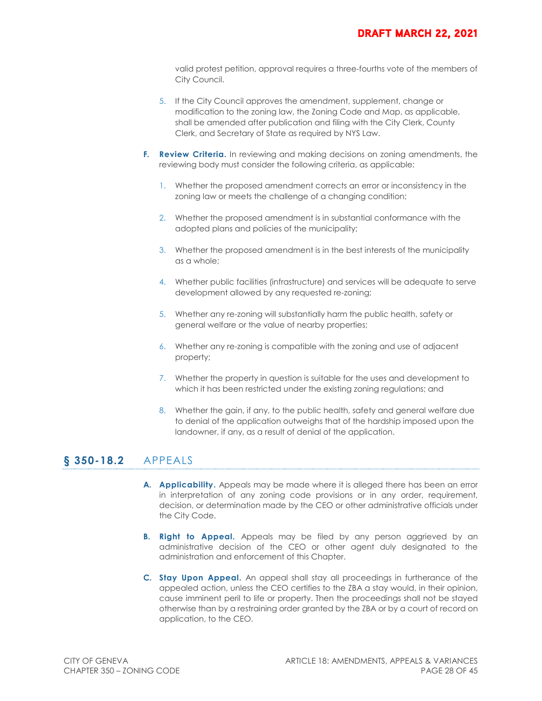valid protest petition, approval requires a three-fourths vote of the members of City Council.

- 5. If the City Council approves the amendment, supplement, change or modification to the zoning law, the Zoning Code and Map, as applicable, shall be amended after publication and filing with the City Clerk, County Clerk, and Secretary of State as required by NYS Law.
- **F. Review Criteria.** In reviewing and making decisions on zoning amendments, the reviewing body must consider the following criteria, as applicable:
	- 1. Whether the proposed amendment corrects an error or inconsistency in the zoning law or meets the challenge of a changing condition;
	- 2. Whether the proposed amendment is in substantial conformance with the adopted plans and policies of the municipality;
	- 3. Whether the proposed amendment is in the best interests of the municipality as a whole;
	- 4. Whether public facilities (infrastructure) and services will be adequate to serve development allowed by any requested re-zoning;
	- 5. Whether any re-zoning will substantially harm the public health, safety or general welfare or the value of nearby properties;
	- 6. Whether any re-zoning is compatible with the zoning and use of adjacent property;
	- 7. Whether the property in question is suitable for the uses and development to which it has been restricted under the existing zoning regulations; and
	- 8. Whether the gain, if any, to the public health, safety and general welfare due to denial of the application outweighs that of the hardship imposed upon the landowner, if any, as a result of denial of the application.

### **§ 350-18.2** APPEALS

- **A. Applicability.** Appeals may be made where it is alleged there has been an error in interpretation of any zoning code provisions or in any order, requirement, decision, or determination made by the CEO or other administrative officials under the City Code.
- **B. Right to Appeal.** Appeals may be filed by any person aggrieved by an administrative decision of the CEO or other agent duly designated to the administration and enforcement of this Chapter.
- **C. Stay Upon Appeal.** An appeal shall stay all proceedings in furtherance of the appealed action, unless the CEO certifies to the ZBA a stay would, in their opinion, cause imminent peril to life or property. Then the proceedings shall not be stayed otherwise than by a restraining order granted by the ZBA or by a court of record on application, to the CEO.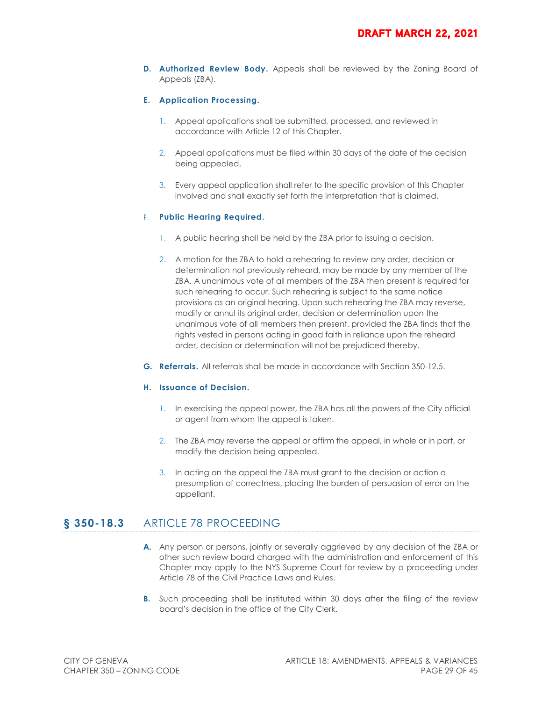**D. Authorized Review Body.** Appeals shall be reviewed by the Zoning Board of Appeals (ZBA).

#### **E. Application Processing.**

- 1. Appeal applications shall be submitted, processed, and reviewed in accordance with Article 12 of this Chapter.
- 2. Appeal applications must be filed within 30 days of the date of the decision being appealed.
- 3. Every appeal application shall refer to the specific provision of this Chapter involved and shall exactly set forth the interpretation that is claimed.

#### F. **Public Hearing Required.**

- 1. A public hearing shall be held by the ZBA prior to issuing a decision.
- 2. A motion for the ZBA to hold a rehearing to review any order, decision or determination not previously reheard, may be made by any member of the ZBA. A unanimous vote of all members of the ZBA then present is required for such rehearing to occur. Such rehearing is subject to the same notice provisions as an original hearing. Upon such rehearing the ZBA may reverse, modify or annul its original order, decision or determination upon the unanimous vote of all members then present, provided the ZBA finds that the rights vested in persons acting in good faith in reliance upon the reheard order, decision or determination will not be prejudiced thereby.
- **G. Referrals.** All referrals shall be made in accordance with Section 350-12.5.

#### **H. Issuance of Decision.**

- 1. In exercising the appeal power, the ZBA has all the powers of the City official or agent from whom the appeal is taken.
- 2. The ZBA may reverse the appeal or affirm the appeal, in whole or in part, or modify the decision being appealed.
- 3. In acting on the appeal the ZBA must grant to the decision or action a presumption of correctness, placing the burden of persuasion of error on the appellant.

### **§ 350-18.3** ARTICLE 78 PROCEEDING

- **A.** Any person or persons, jointly or severally aggrieved by any decision of the ZBA or other such review board charged with the administration and enforcement of this Chapter may apply to the NYS Supreme Court for review by a proceeding under Article 78 of the Civil Practice Laws and Rules.
- **B.** Such proceeding shall be instituted within 30 days after the filing of the review board's decision in the office of the City Clerk.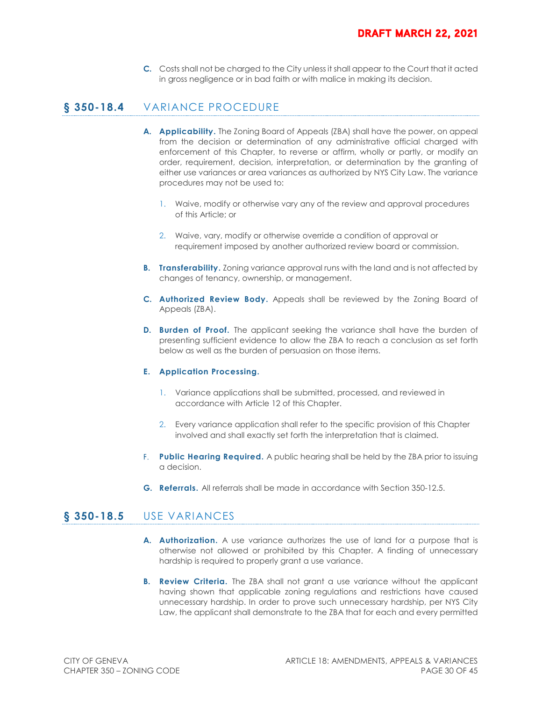**C.** Costs shall not be charged to the City unless it shall appear to the Court that it acted in gross negligence or in bad faith or with malice in making its decision.

# **§ 350-18.4** VARIANCE PROCEDURE

- **A. Applicability.** The Zoning Board of Appeals (ZBA) shall have the power, on appeal from the decision or determination of any administrative official charged with enforcement of this Chapter, to reverse or affirm, wholly or partly, or modify an order, requirement, decision, interpretation, or determination by the granting of either use variances or area variances as authorized by NYS City Law. The variance procedures may not be used to:
	- 1. Waive, modify or otherwise vary any of the review and approval procedures of this Article; or
	- 2. Waive, vary, modify or otherwise override a condition of approval or requirement imposed by another authorized review board or commission.
- **B.** Transferability. Zoning variance approval runs with the land and is not affected by changes of tenancy, ownership, or management.
- **C. Authorized Review Body.** Appeals shall be reviewed by the Zoning Board of Appeals (ZBA).
- **D.** Burden of Proof. The applicant seeking the variance shall have the burden of presenting sufficient evidence to allow the ZBA to reach a conclusion as set forth below as well as the burden of persuasion on those items.

#### **E. Application Processing.**

- 1. Variance applications shall be submitted, processed, and reviewed in accordance with Article 12 of this Chapter.
- 2. Every variance application shall refer to the specific provision of this Chapter involved and shall exactly set forth the interpretation that is claimed.
- F. **Public Hearing Required.** A public hearing shall be held by the ZBA prior to issuing a decision.
- **G. Referrals.** All referrals shall be made in accordance with Section 350-12.5.

### **§ 350-18.5** USE VARIANCES

- **A. Authorization.** A use variance authorizes the use of land for a purpose that is otherwise not allowed or prohibited by this Chapter. A finding of unnecessary hardship is required to properly grant a use variance.
- **B. Review Criteria.** The ZBA shall not grant a use variance without the applicant having shown that applicable zoning regulations and restrictions have caused unnecessary hardship. In order to prove such unnecessary hardship, per NYS City Law, the applicant shall demonstrate to the ZBA that for each and every permitted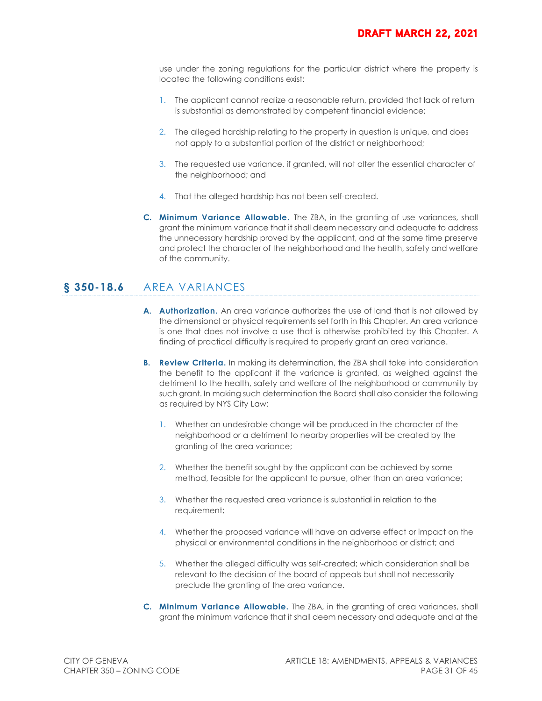use under the zoning regulations for the particular district where the property is located the following conditions exist:

- 1. The applicant cannot realize a reasonable return, provided that lack of return is substantial as demonstrated by competent financial evidence;
- 2. The alleged hardship relating to the property in question is unique, and does not apply to a substantial portion of the district or neighborhood;
- 3. The requested use variance, if granted, will not alter the essential character of the neighborhood; and
- 4. That the alleged hardship has not been self-created.
- **C. Minimum Variance Allowable.** The ZBA, in the granting of use variances, shall grant the minimum variance that it shall deem necessary and adequate to address the unnecessary hardship proved by the applicant, and at the same time preserve and protect the character of the neighborhood and the health, safety and welfare of the community.

# **§ 350-18.6** AREA VARIANCES

- **A. Authorization.** An area variance authorizes the use of land that is not allowed by the dimensional or physical requirements set forth in this Chapter. An area variance is one that does not involve a use that is otherwise prohibited by this Chapter. A finding of practical difficulty is required to properly grant an area variance.
- **B.** Review Criteria. In making its determination, the ZBA shall take into consideration the benefit to the applicant if the variance is granted, as weighed against the detriment to the health, safety and welfare of the neighborhood or community by such grant. In making such determination the Board shall also consider the following as required by NYS City Law:
	- 1. Whether an undesirable change will be produced in the character of the neighborhood or a detriment to nearby properties will be created by the granting of the area variance;
	- 2. Whether the benefit sought by the applicant can be achieved by some method, feasible for the applicant to pursue, other than an area variance;
	- 3. Whether the requested area variance is substantial in relation to the requirement;
	- 4. Whether the proposed variance will have an adverse effect or impact on the physical or environmental conditions in the neighborhood or district; and
	- 5. Whether the alleged difficulty was self-created; which consideration shall be relevant to the decision of the board of appeals but shall not necessarily preclude the granting of the area variance.
- **C. Minimum Variance Allowable.** The ZBA, in the granting of area variances, shall grant the minimum variance that it shall deem necessary and adequate and at the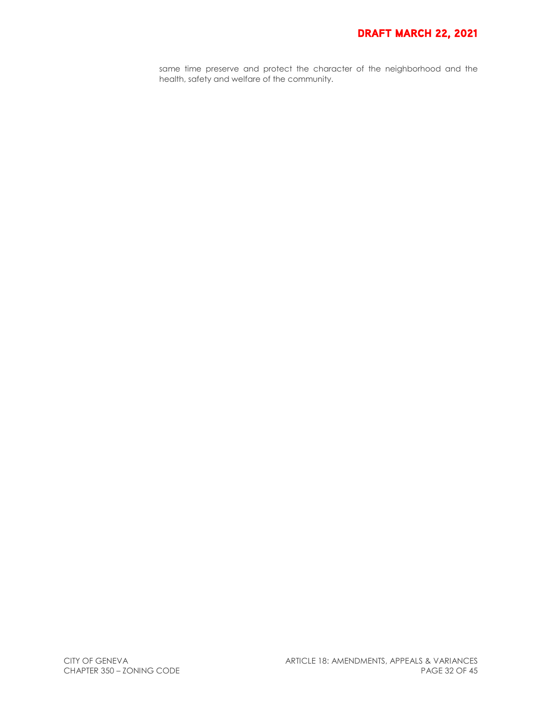# **DRAFT MARCH 22, 2021**

same time preserve and protect the character of the neighborhood and the health, safety and welfare of the community.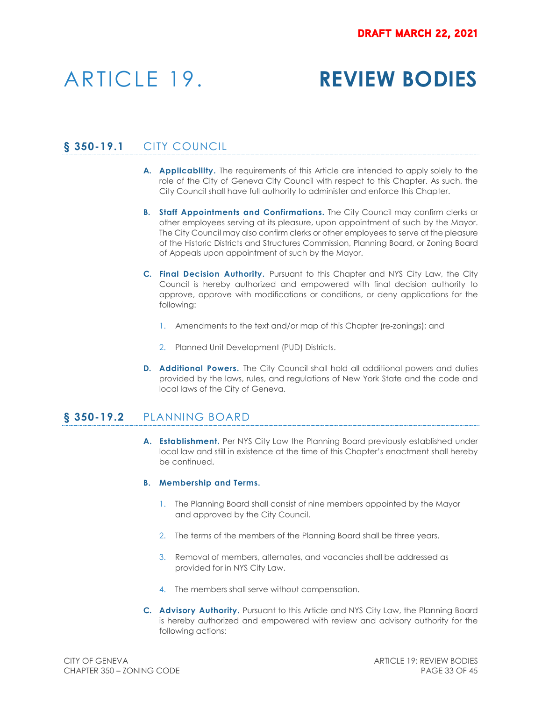# ARTICLE 19. **REVIEW BODIES**

# **§ 350-19.1** CITY COUNCIL

- **A. Applicability.** The requirements of this Article are intended to apply solely to the role of the City of Geneva City Council with respect to this Chapter. As such, the City Council shall have full authority to administer and enforce this Chapter.
- **B. Staff Appointments and Confirmations.** The City Council may confirm clerks or other employees serving at its pleasure, upon appointment of such by the Mayor. The City Council may also confirm clerks or other employees to serve at the pleasure of the Historic Districts and Structures Commission, Planning Board, or Zoning Board of Appeals upon appointment of such by the Mayor.
- **C. Final Decision Authority.** Pursuant to this Chapter and NYS City Law, the City Council is hereby authorized and empowered with final decision authority to approve, approve with modifications or conditions, or deny applications for the following:
	- 1. Amendments to the text and/or map of this Chapter (re-zonings); and
	- 2. Planned Unit Development (PUD) Districts.
- **D. Additional Powers.** The City Council shall hold all additional powers and duties provided by the laws, rules, and regulations of New York State and the code and local laws of the City of Geneva.

### **§ 350-19.2** PLANNING BOARD

**A. Establishment.** Per NYS City Law the Planning Board previously established under local law and still in existence at the time of this Chapter's enactment shall hereby be continued.

#### **B. Membership and Terms.**

- 1. The Planning Board shall consist of nine members appointed by the Mayor and approved by the City Council.
- 2. The terms of the members of the Planning Board shall be three years.
- 3. Removal of members, alternates, and vacancies shall be addressed as provided for in NYS City Law.
- 4. The members shall serve without compensation.
- **C. Advisory Authority.** Pursuant to this Article and NYS City Law, the Planning Board is hereby authorized and empowered with review and advisory authority for the following actions: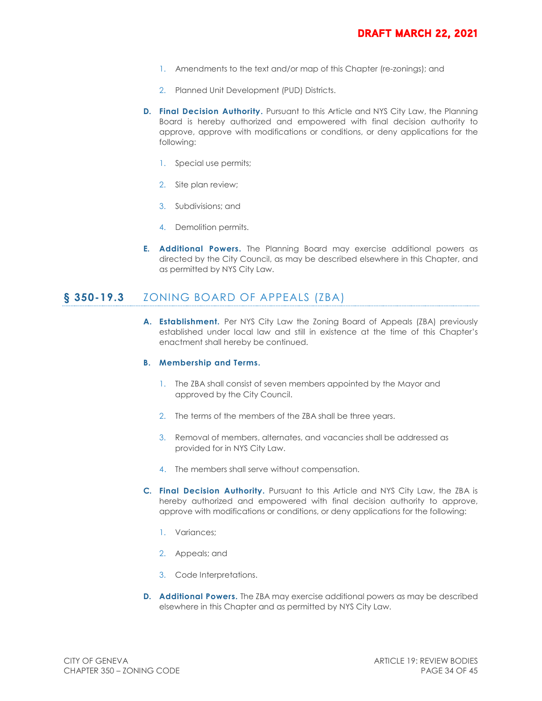- 1. Amendments to the text and/or map of this Chapter (re-zonings); and
- 2. Planned Unit Development (PUD) Districts.
- **D. Final Decision Authority.** Pursuant to this Article and NYS City Law, the Planning Board is hereby authorized and empowered with final decision authority to approve, approve with modifications or conditions, or deny applications for the following:
	- 1. Special use permits;
	- 2. Site plan review;
	- 3. Subdivisions; and
	- 4. Demolition permits.
- **E. Additional Powers.** The Planning Board may exercise additional powers as directed by the City Council, as may be described elsewhere in this Chapter, and as permitted by NYS City Law.

# **§ 350-19.3** ZONING BOARD OF APPEALS (ZBA)

**A. Establishment.** Per NYS City Law the Zoning Board of Appeals (ZBA) previously established under local law and still in existence at the time of this Chapter's enactment shall hereby be continued.

#### **B. Membership and Terms.**

- 1. The ZBA shall consist of seven members appointed by the Mayor and approved by the City Council.
- 2. The terms of the members of the ZBA shall be three years.
- 3. Removal of members, alternates, and vacancies shall be addressed as provided for in NYS City Law.
- 4. The members shall serve without compensation.
- **C. Final Decision Authority.** Pursuant to this Article and NYS City Law, the ZBA is hereby authorized and empowered with final decision authority to approve, approve with modifications or conditions, or deny applications for the following:
	- 1. Variances;
	- 2. Appeals; and
	- 3. Code Interpretations.
- **D. Additional Powers.** The ZBA may exercise additional powers as may be described elsewhere in this Chapter and as permitted by NYS City Law.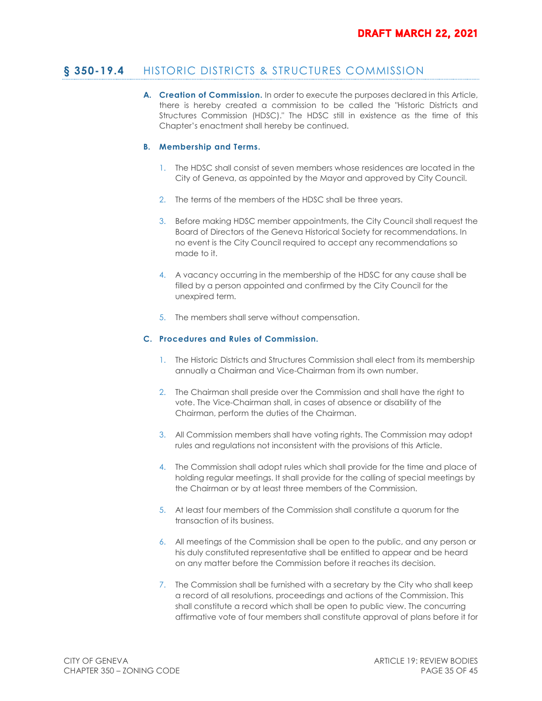# **§ 350-19.4** HISTORIC DISTRICTS & STRUCTURES COMMISSION

**A. Creation of Commission.** In order to execute the purposes declared in this Article, there is hereby created a commission to be called the "Historic Districts and Structures Commission (HDSC)." The HDSC still in existence as the time of this Chapter's enactment shall hereby be continued.

#### **B. Membership and Terms.**

- 1. The HDSC shall consist of seven members whose residences are located in the City of Geneva, as appointed by the Mayor and approved by City Council.
- 2. The terms of the members of the HDSC shall be three years.
- 3. Before making HDSC member appointments, the City Council shall request the Board of Directors of the Geneva Historical Society for recommendations. In no event is the City Council required to accept any recommendations so made to it.
- 4. A vacancy occurring in the membership of the HDSC for any cause shall be filled by a person appointed and confirmed by the City Council for the unexpired term.
- 5. The members shall serve without compensation.

#### **C. Procedures and Rules of Commission.**

- 1. The Historic Districts and Structures Commission shall elect from its membership annually a Chairman and Vice-Chairman from its own number.
- 2. The Chairman shall preside over the Commission and shall have the right to vote. The Vice-Chairman shall, in cases of absence or disability of the Chairman, perform the duties of the Chairman.
- 3. All Commission members shall have voting rights. The Commission may adopt rules and regulations not inconsistent with the provisions of this Article.
- 4. The Commission shall adopt rules which shall provide for the time and place of holding regular meetings. It shall provide for the calling of special meetings by the Chairman or by at least three members of the Commission.
- 5. At least four members of the Commission shall constitute a quorum for the transaction of its business.
- 6. All meetings of the Commission shall be open to the public, and any person or his duly constituted representative shall be entitled to appear and be heard on any matter before the Commission before it reaches its decision.
- 7. The Commission shall be furnished with a secretary by the City who shall keep a record of all resolutions, proceedings and actions of the Commission. This shall constitute a record which shall be open to public view. The concurring affirmative vote of four members shall constitute approval of plans before it for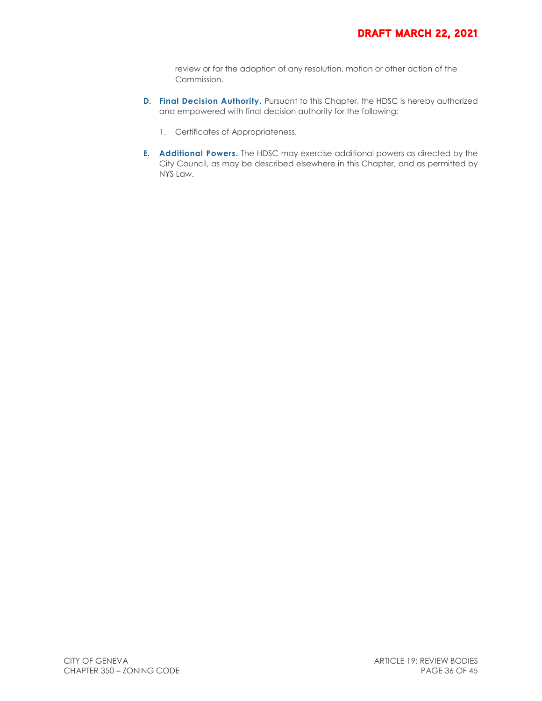review or for the adoption of any resolution, motion or other action of the Commission.

- **D. Final Decision Authority.** Pursuant to this Chapter, the HDSC is hereby authorized and empowered with final decision authority for the following:
	- 1. Certificates of Appropriateness.
- **E. Additional Powers.** The HDSC may exercise additional powers as directed by the City Council, as may be described elsewhere in this Chapter, and as permitted by NYS Law.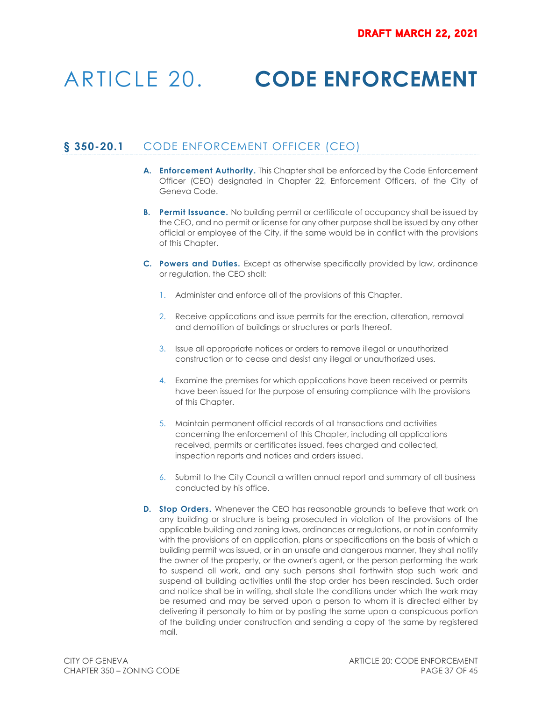# ARTICLE 20. **CODE ENFORCEMENT**

# **§ 350-20.1** CODE ENFORCEMENT OFFICER (CEO)

- **A. Enforcement Authority.** This Chapter shall be enforced by the Code Enforcement Officer (CEO) designated in Chapter 22, Enforcement Officers, of the City of Geneva Code.
- **B.** Permit Issuance. No building permit or certificate of occupancy shall be issued by the CEO, and no permit or license for any other purpose shall be issued by any other official or employee of the City, if the same would be in conflict with the provisions of this Chapter.
- **C. Powers and Duties.** Except as otherwise specifically provided by law, ordinance or regulation, the CEO shall:
	- 1. Administer and enforce all of the provisions of this Chapter.
	- 2. Receive applications and issue permits for the erection, alteration, removal and demolition of buildings or structures or parts thereof.
	- 3. Issue all appropriate notices or orders to remove illegal or unauthorized construction or to cease and desist any illegal or unauthorized uses.
	- 4. Examine the premises for which applications have been received or permits have been issued for the purpose of ensuring compliance with the provisions of this Chapter.
	- 5. Maintain permanent official records of all transactions and activities concerning the enforcement of this Chapter, including all applications received, permits or certificates issued, fees charged and collected, inspection reports and notices and orders issued.
	- 6. Submit to the City Council a written annual report and summary of all business conducted by his office.
- **D.** Stop Orders. Whenever the CEO has reasonable grounds to believe that work on any building or structure is being prosecuted in violation of the provisions of the applicable building and zoning laws, ordinances or regulations, or not in conformity with the provisions of an application, plans or specifications on the basis of which a building permit was issued, or in an unsafe and dangerous manner, they shall notify the owner of the property, or the owner's agent, or the person performing the work to suspend all work, and any such persons shall forthwith stop such work and suspend all building activities until the stop order has been rescinded. Such order and notice shall be in writing, shall state the conditions under which the work may be resumed and may be served upon a person to whom it is directed either by delivering it personally to him or by posting the same upon a conspicuous portion of the building under construction and sending a copy of the same by registered mail.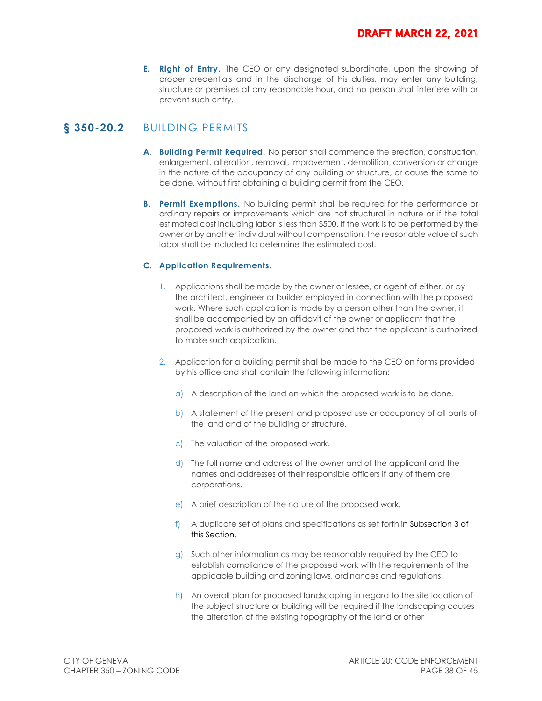**E. Right of Entry.** The CEO or any designated subordinate, upon the showing of proper credentials and in the discharge of his duties, may enter any building, structure or premises at any reasonable hour, and no person shall interfere with or prevent such entry.

# **§ 350-20.2** BUILDING PERMITS

- **A. Building Permit Required.** No person shall commence the erection, construction, enlargement, alteration, removal, improvement, demolition, conversion or change in the nature of the occupancy of any building or structure, or cause the same to be done, without first obtaining a building permit from the CEO.
- **B. Permit Exemptions.** No building permit shall be required for the performance or ordinary repairs or improvements which are not structural in nature or if the total estimated cost including labor is less than \$500. If the work is to be performed by the owner or by another individual without compensation, the reasonable value of such labor shall be included to determine the estimated cost.

#### **C. Application Requirements.**

- 1. Applications shall be made by the owner or lessee, or agent of either, or by the architect, engineer or builder employed in connection with the proposed work. Where such application is made by a person other than the owner, it shall be accompanied by an affidavit of the owner or applicant that the proposed work is authorized by the owner and that the applicant is authorized to make such application.
- 2. Application for a building permit shall be made to the CEO on forms provided by his office and shall contain the following information:
	- a) A description of the land on which the proposed work is to be done.
	- b) A statement of the present and proposed use or occupancy of all parts of the land and of the building or structure.
	- c) The valuation of the proposed work.
	- d) The full name and address of the owner and of the applicant and the names and addresses of their responsible officers if any of them are corporations.
	- e) A brief description of the nature of the proposed work.
	- f) A duplicate set of plans and specifications as set forth in Subsection 3 of this Section.
	- g) Such other information as may be reasonably required by the CEO to establish compliance of the proposed work with the requirements of the applicable building and zoning laws, ordinances and regulations.
	- h) An overall plan for proposed landscaping in regard to the site location of the subject structure or building will be required if the landscaping causes the alteration of the existing topography of the land or other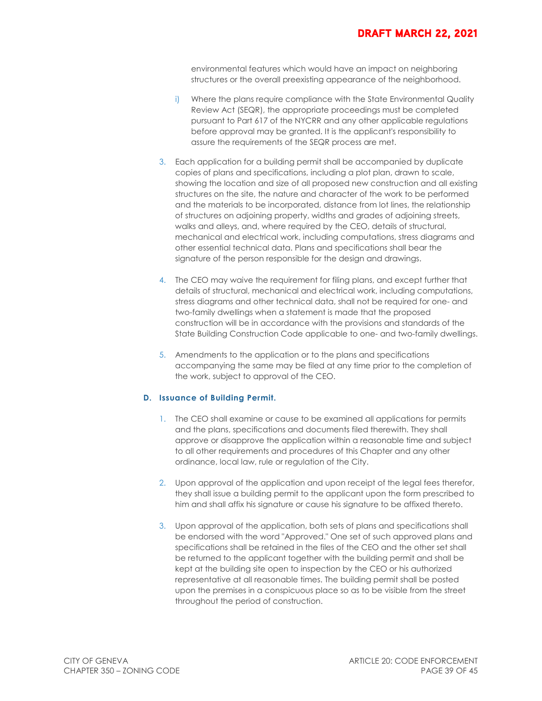environmental features which would have an impact on neighboring structures or the overall preexisting appearance of the neighborhood.

- i) Where the plans require compliance with the State Environmental Quality Review Act (SEQR), the appropriate proceedings must be completed pursuant to Part 617 of the NYCRR and any other applicable regulations before approval may be granted. It is the applicant's responsibility to assure the requirements of the SEQR process are met.
- 3. Each application for a building permit shall be accompanied by duplicate copies of plans and specifications, including a plot plan, drawn to scale, showing the location and size of all proposed new construction and all existing structures on the site, the nature and character of the work to be performed and the materials to be incorporated, distance from lot lines, the relationship of structures on adjoining property, widths and grades of adjoining streets, walks and alleys, and, where required by the CEO, details of structural, mechanical and electrical work, including computations, stress diagrams and other essential technical data. Plans and specifications shall bear the signature of the person responsible for the design and drawings.
- 4. The CEO may waive the requirement for filing plans, and except further that details of structural, mechanical and electrical work, including computations, stress diagrams and other technical data, shall not be required for one- and two-family dwellings when a statement is made that the proposed construction will be in accordance with the provisions and standards of the State Building Construction Code applicable to one- and two-family dwellings.
- 5. Amendments to the application or to the plans and specifications accompanying the same may be filed at any time prior to the completion of the work, subject to approval of the CEO.

#### **D. Issuance of Building Permit.**

- 1. The CEO shall examine or cause to be examined all applications for permits and the plans, specifications and documents filed therewith. They shall approve or disapprove the application within a reasonable time and subject to all other requirements and procedures of this Chapter and any other ordinance, local law, rule or regulation of the City.
- 2. Upon approval of the application and upon receipt of the legal fees therefor, they shall issue a building permit to the applicant upon the form prescribed to him and shall affix his signature or cause his signature to be affixed thereto.
- 3. Upon approval of the application, both sets of plans and specifications shall be endorsed with the word "Approved." One set of such approved plans and specifications shall be retained in the files of the CEO and the other set shall be returned to the applicant together with the building permit and shall be kept at the building site open to inspection by the CEO or his authorized representative at all reasonable times. The building permit shall be posted upon the premises in a conspicuous place so as to be visible from the street throughout the period of construction.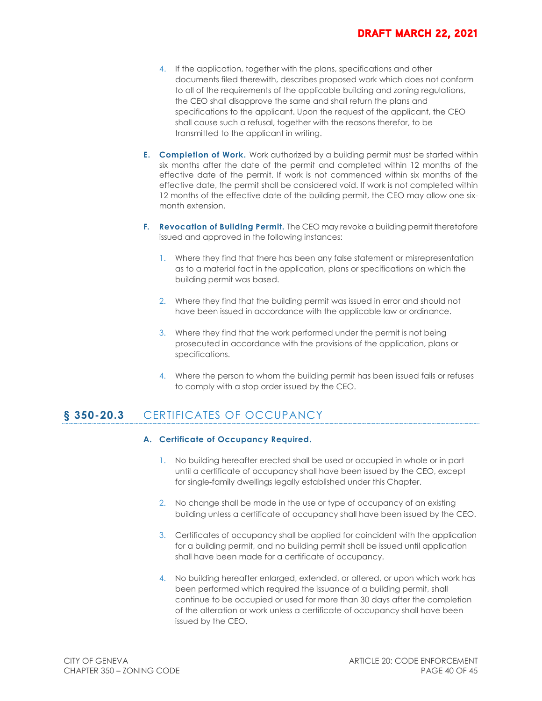- 4. If the application, together with the plans, specifications and other documents filed therewith, describes proposed work which does not conform to all of the requirements of the applicable building and zoning regulations, the CEO shall disapprove the same and shall return the plans and specifications to the applicant. Upon the request of the applicant, the CEO shall cause such a refusal, together with the reasons therefor, to be transmitted to the applicant in writing.
- **E. Completion of Work.** Work authorized by a building permit must be started within six months after the date of the permit and completed within 12 months of the effective date of the permit. If work is not commenced within six months of the effective date, the permit shall be considered void. If work is not completed within 12 months of the effective date of the building permit, the CEO may allow one sixmonth extension.
- **F. Revocation of Building Permit.** The CEO may revoke a building permit theretofore issued and approved in the following instances:
	- 1. Where they find that there has been any false statement or misrepresentation as to a material fact in the application, plans or specifications on which the building permit was based.
	- 2. Where they find that the building permit was issued in error and should not have been issued in accordance with the applicable law or ordinance.
	- 3. Where they find that the work performed under the permit is not being prosecuted in accordance with the provisions of the application, plans or specifications.
	- 4. Where the person to whom the building permit has been issued fails or refuses to comply with a stop order issued by the CEO.

# **§ 350-20.3** CERTIFICATES OF OCCUPANCY

#### **A. Certificate of Occupancy Required.**

- 1. No building hereafter erected shall be used or occupied in whole or in part until a certificate of occupancy shall have been issued by the CEO, except for single-family dwellings legally established under this Chapter.
- 2. No change shall be made in the use or type of occupancy of an existing building unless a certificate of occupancy shall have been issued by the CEO.
- 3. Certificates of occupancy shall be applied for coincident with the application for a building permit, and no building permit shall be issued until application shall have been made for a certificate of occupancy.
- 4. No building hereafter enlarged, extended, or altered, or upon which work has been performed which required the issuance of a building permit, shall continue to be occupied or used for more than 30 days after the completion of the alteration or work unless a certificate of occupancy shall have been issued by the CEO.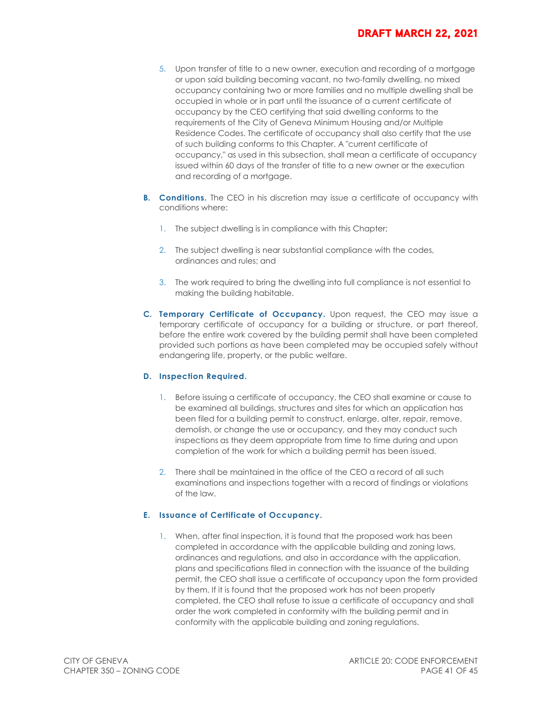- 5. Upon transfer of title to a new owner, execution and recording of a mortgage or upon said building becoming vacant, no two-family dwelling, no mixed occupancy containing two or more families and no multiple dwelling shall be occupied in whole or in part until the issuance of a current certificate of occupancy by the CEO certifying that said dwelling conforms to the requirements of the City of Geneva Minimum Housing and/or Multiple Residence Codes. The certificate of occupancy shall also certify that the use of such building conforms to this Chapter. A "current certificate of occupancy," as used in this subsection, shall mean a certificate of occupancy issued within 60 days of the transfer of title to a new owner or the execution and recording of a mortgage.
- **B. Conditions.** The CEO in his discretion may issue a certificate of occupancy with conditions where:
	- 1. The subject dwelling is in compliance with this Chapter;
	- 2. The subject dwelling is near substantial compliance with the codes, ordinances and rules; and
	- 3. The work required to bring the dwelling into full compliance is not essential to making the building habitable.
- **C. Temporary Certificate of Occupancy.** Upon request, the CEO may issue a temporary certificate of occupancy for a building or structure, or part thereof, before the entire work covered by the building permit shall have been completed provided such portions as have been completed may be occupied safely without endangering life, property, or the public welfare.

#### **D. Inspection Required.**

- 1. Before issuing a certificate of occupancy, the CEO shall examine or cause to be examined all buildings, structures and sites for which an application has been filed for a building permit to construct, enlarge, alter, repair, remove, demolish, or change the use or occupancy, and they may conduct such inspections as they deem appropriate from time to time during and upon completion of the work for which a building permit has been issued.
- 2. There shall be maintained in the office of the CEO a record of all such examinations and inspections together with a record of findings or violations of the law.

#### **E. Issuance of Certificate of Occupancy.**

1. When, after final inspection, it is found that the proposed work has been completed in accordance with the applicable building and zoning laws, ordinances and regulations, and also in accordance with the application, plans and specifications filed in connection with the issuance of the building permit, the CEO shall issue a certificate of occupancy upon the form provided by them. If it is found that the proposed work has not been properly completed, the CEO shall refuse to issue a certificate of occupancy and shall order the work completed in conformity with the building permit and in conformity with the applicable building and zoning regulations.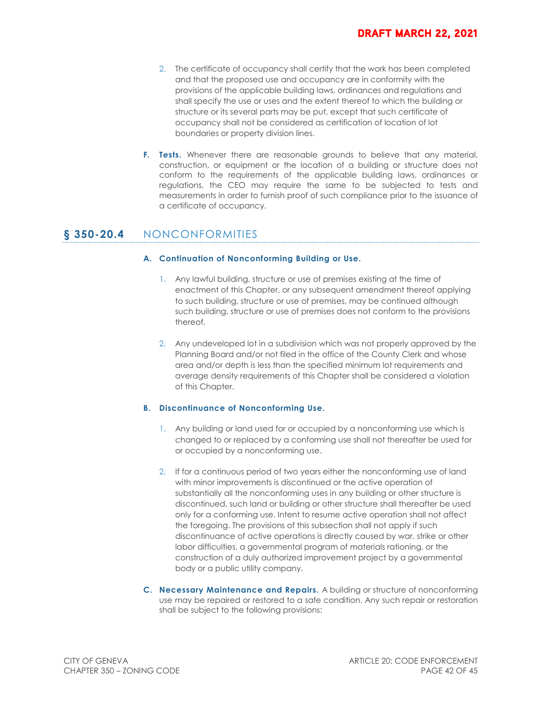- 2. The certificate of occupancy shall certify that the work has been completed and that the proposed use and occupancy are in conformity with the provisions of the applicable building laws, ordinances and regulations and shall specify the use or uses and the extent thereof to which the building or structure or its several parts may be put, except that such certificate of occupancy shall not be considered as certification of location of lot boundaries or property division lines.
- **F. Tests.** Whenever there are reasonable grounds to believe that any material, construction, or equipment or the location of a building or structure does not conform to the requirements of the applicable building laws, ordinances or regulations, the CEO may require the same to be subjected to tests and measurements in order to furnish proof of such compliance prior to the issuance of a certificate of occupancy.

### **§ 350-20.4** NONCONFORMITIES

#### **A. Continuation of Nonconforming Building or Use.**

- 1. Any lawful building, structure or use of premises existing at the time of enactment of this Chapter, or any subsequent amendment thereof applying to such building, structure or use of premises, may be continued although such building, structure or use of premises does not conform to the provisions thereof.
- 2. Any undeveloped lot in a subdivision which was not properly approved by the Planning Board and/or not filed in the office of the County Clerk and whose area and/or depth is less than the specified minimum lot requirements and average density requirements of this Chapter shall be considered a violation of this Chapter.

#### **B. Discontinuance of Nonconforming Use.**

- 1. Any building or land used for or occupied by a nonconforming use which is changed to or replaced by a conforming use shall not thereafter be used for or occupied by a nonconforming use.
- 2. If for a continuous period of two years either the nonconforming use of land with minor improvements is discontinued or the active operation of substantially all the nonconforming uses in any building or other structure is discontinued, such land or building or other structure shall thereafter be used only for a conforming use. Intent to resume active operation shall not affect the foregoing. The provisions of this subsection shall not apply if such discontinuance of active operations is directly caused by war, strike or other labor difficulties, a governmental program of materials rationing, or the construction of a duly authorized improvement project by a governmental body or a public utility company.
- **C. Necessary Maintenance and Repairs.** A building or structure of nonconforming use may be repaired or restored to a safe condition. Any such repair or restoration shall be subject to the following provisions: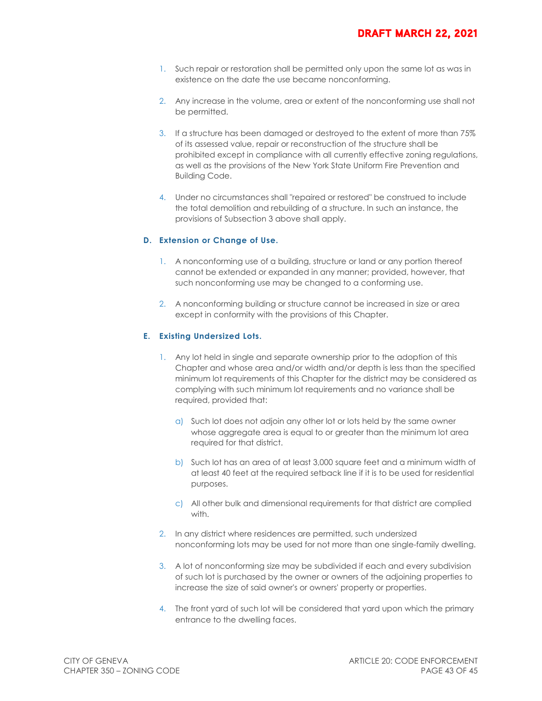- 1. Such repair or restoration shall be permitted only upon the same lot as was in existence on the date the use became nonconforming.
- 2. Any increase in the volume, area or extent of the nonconforming use shall not be permitted.
- 3. If a structure has been damaged or destroyed to the extent of more than 75% of its assessed value, repair or reconstruction of the structure shall be prohibited except in compliance with all currently effective zoning regulations, as well as the provisions of the New York State Uniform Fire Prevention and Building Code.
- 4. Under no circumstances shall "repaired or restored" be construed to include the total demolition and rebuilding of a structure. In such an instance, the provisions of Subsection 3 above shall apply.

#### **D. Extension or Change of Use.**

- 1. A nonconforming use of a building, structure or land or any portion thereof cannot be extended or expanded in any manner; provided, however, that such nonconforming use may be changed to a conforming use.
- 2. A nonconforming building or structure cannot be increased in size or area except in conformity with the provisions of this Chapter.

#### **E. Existing Undersized Lots.**

- 1. Any lot held in single and separate ownership prior to the adoption of this Chapter and whose area and/or width and/or depth is less than the specified minimum lot requirements of this Chapter for the district may be considered as complying with such minimum lot requirements and no variance shall be required, provided that:
	- a) Such lot does not adjoin any other lot or lots held by the same owner whose aggregate area is equal to or greater than the minimum lot area required for that district.
	- b) Such lot has an area of at least 3,000 square feet and a minimum width of at least 40 feet at the required setback line if it is to be used for residential purposes.
	- c) All other bulk and dimensional requirements for that district are complied with.
- 2. In any district where residences are permitted, such undersized nonconforming lots may be used for not more than one single-family dwelling.
- 3. A lot of nonconforming size may be subdivided if each and every subdivision of such lot is purchased by the owner or owners of the adjoining properties to increase the size of said owner's or owners' property or properties.
- 4. The front yard of such lot will be considered that yard upon which the primary entrance to the dwelling faces.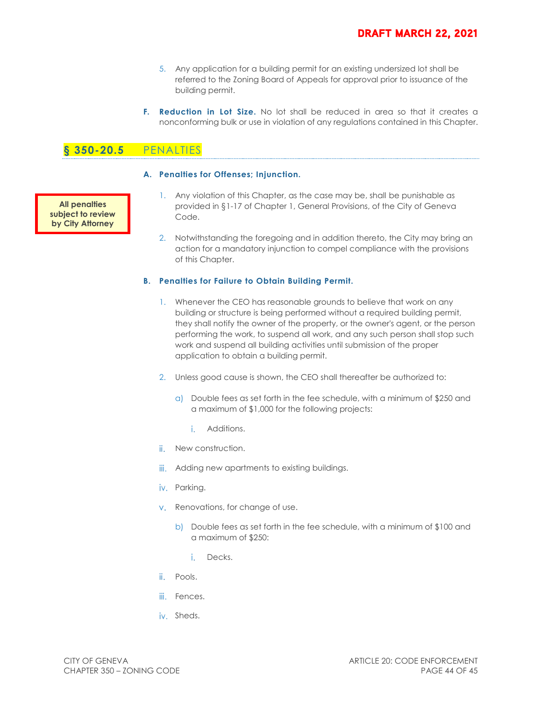- 5. Any application for a building permit for an existing undersized lot shall be referred to the Zoning Board of Appeals for approval prior to issuance of the building permit.
- **F.** Reduction in Lot Size. No lot shall be reduced in area so that it creates a nonconforming bulk or use in violation of any regulations contained in this Chapter.

# **§ 350-20.5** PENALTIES

**All penalties subject to review by City Attorney**

#### **A. Penalties for Offenses; Injunction.**

- 1. Any violation of this Chapter, as the case may be, shall be punishable as provided in §1-17 of Chapter 1, General Provisions, of the City of Geneva Code.
- 2. Notwithstanding the foregoing and in addition thereto, the City may bring an action for a mandatory injunction to compel compliance with the provisions of this Chapter.

#### **B. Penalties for Failure to Obtain Building Permit.**

- 1. Whenever the CEO has reasonable grounds to believe that work on any building or structure is being performed without a required building permit, they shall notify the owner of the property, or the owner's agent, or the person performing the work, to suspend all work, and any such person shall stop such work and suspend all building activities until submission of the proper application to obtain a building permit.
- 2. Unless good cause is shown, the CEO shall thereafter be authorized to:
	- a) Double fees as set forth in the fee schedule, with a minimum of \$250 and a maximum of \$1,000 for the following projects:
		- i Additions.
- ii. New construction.
- iii. Adding new apartments to existing buildings.
- iv. Parking.
- v. Renovations, for change of use.
	- b) Double fees as set forth in the fee schedule, with a minimum of \$100 and a maximum of \$250:
		- i. Decks.
- ii. Pools.
- iii. Fences.
- iv. Sheds.